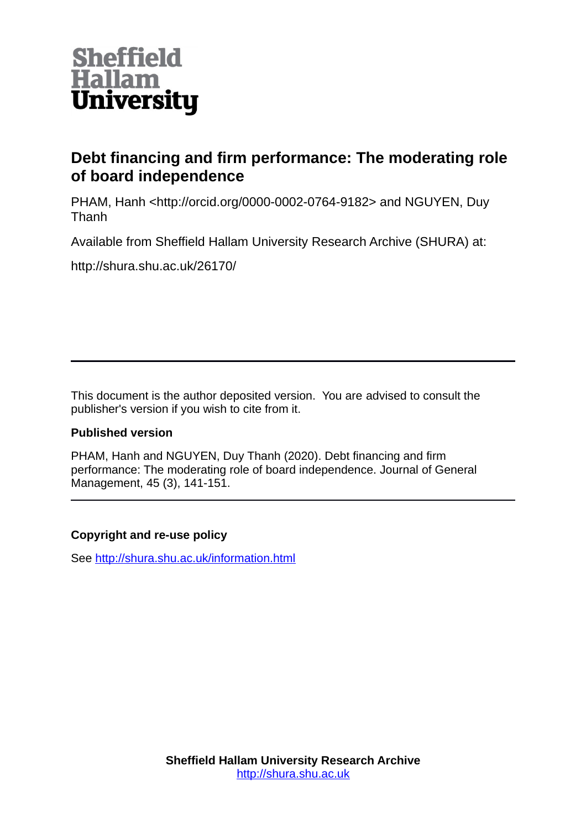

# **Debt financing and firm performance: The moderating role of board independence**

PHAM, Hanh <http://orcid.org/0000-0002-0764-9182> and NGUYEN, Duy Thanh

Available from Sheffield Hallam University Research Archive (SHURA) at:

http://shura.shu.ac.uk/26170/

This document is the author deposited version. You are advised to consult the publisher's version if you wish to cite from it.

# **Published version**

PHAM, Hanh and NGUYEN, Duy Thanh (2020). Debt financing and firm performance: The moderating role of board independence. Journal of General Management, 45 (3), 141-151.

# **Copyright and re-use policy**

See<http://shura.shu.ac.uk/information.html>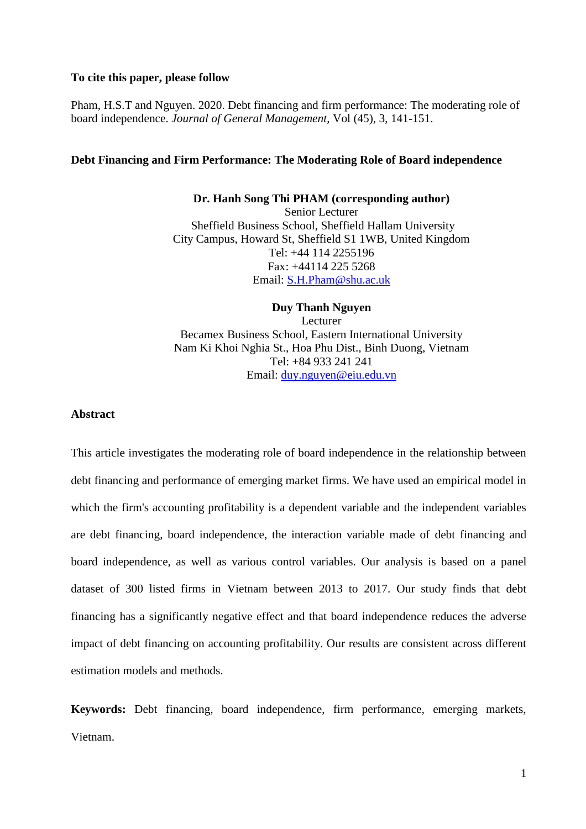# **To cite this paper, please follow**

Pham, H.S.T and Nguyen. 2020. Debt financing and firm performance: The moderating role of board independence. *Journal of General Management,* Vol (45), 3, 141-151.

# **Debt Financing and Firm Performance: The Moderating Role of Board independence**

#### **Dr. Hanh Song Thi PHAM (corresponding author)**

Senior Lecturer Sheffield Business School, Sheffield Hallam University City Campus, Howard St, Sheffield S1 1WB, United Kingdom Tel: +44 114 2255196 Fax: +44114 225 5268 Email: [S.H.Pham@shu.ac.uk](mailto:S.H.Pham@shu.ac.uk)

**Duy Thanh Nguyen** Lecturer Becamex Business School, Eastern International University Nam Ki Khoi Nghia St., Hoa Phu Dist., Binh Duong, Vietnam Tel: +84 933 241 241 Email: [duy.nguyen@eiu.edu.vn](mailto:duy.nguyen@eiu.edu.vn)

# **Abstract**

This article investigates the moderating role of board independence in the relationship between debt financing and performance of emerging market firms. We have used an empirical model in which the firm's accounting profitability is a dependent variable and the independent variables are debt financing, board independence, the interaction variable made of debt financing and board independence, as well as various control variables. Our analysis is based on a panel dataset of 300 listed firms in Vietnam between 2013 to 2017. Our study finds that debt financing has a significantly negative effect and that board independence reduces the adverse impact of debt financing on accounting profitability. Our results are consistent across different estimation models and methods.

**Keywords:** Debt financing, board independence, firm performance, emerging markets, Vietnam.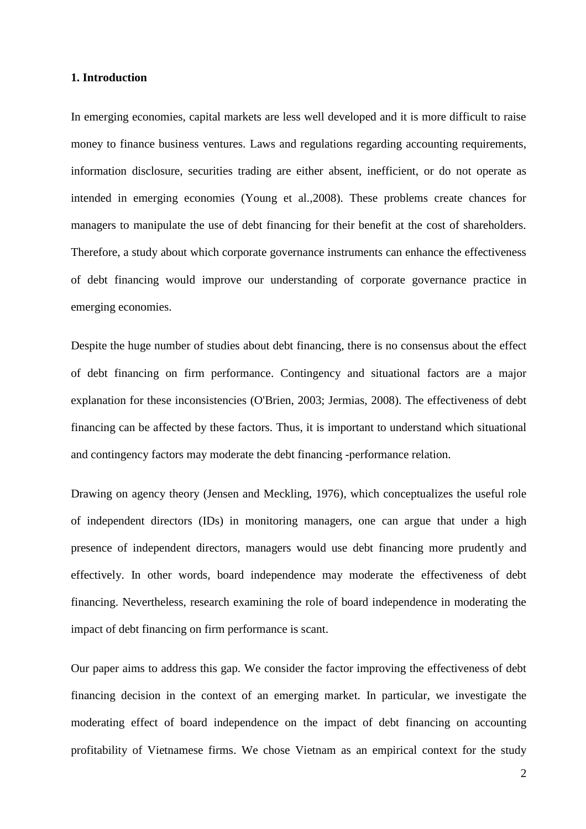# **1. Introduction**

In emerging economies, capital markets are less well developed and it is more difficult to raise money to finance business ventures. Laws and regulations regarding accounting requirements, information disclosure, securities trading are either absent, inefficient, or do not operate as intended in emerging economies (Young et al.,2008). These problems create chances for managers to manipulate the use of debt financing for their benefit at the cost of shareholders. Therefore, a study about which corporate governance instruments can enhance the effectiveness of debt financing would improve our understanding of corporate governance practice in emerging economies.

Despite the huge number of studies about debt financing, there is no consensus about the effect of debt financing on firm performance. Contingency and situational factors are a major explanation for these inconsistencies (O'Brien, 2003; Jermias, 2008). The effectiveness of debt financing can be affected by these factors. Thus, it is important to understand which situational and contingency factors may moderate the debt financing -performance relation.

Drawing on agency theory (Jensen and Meckling, 1976), which conceptualizes the useful role of independent directors (IDs) in monitoring managers, one can argue that under a high presence of independent directors, managers would use debt financing more prudently and effectively. In other words, board independence may moderate the effectiveness of debt financing. Nevertheless, research examining the role of board independence in moderating the impact of debt financing on firm performance is scant.

Our paper aims to address this gap. We consider the factor improving the effectiveness of debt financing decision in the context of an emerging market. In particular, we investigate the moderating effect of board independence on the impact of debt financing on accounting profitability of Vietnamese firms. We chose Vietnam as an empirical context for the study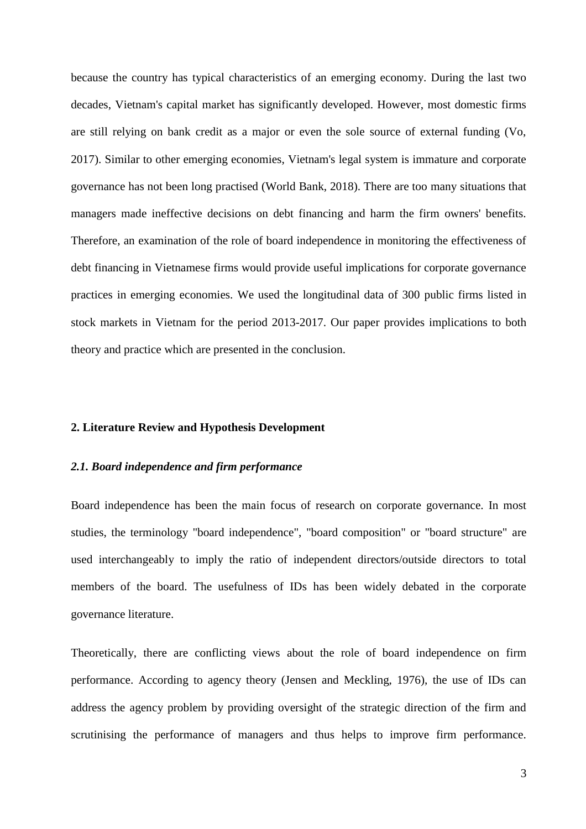because the country has typical characteristics of an emerging economy. During the last two decades, Vietnam's capital market has significantly developed. However, most domestic firms are still relying on bank credit as a major or even the sole source of external funding (Vo, 2017). Similar to other emerging economies, Vietnam's legal system is immature and corporate governance has not been long practised (World Bank, 2018). There are too many situations that managers made ineffective decisions on debt financing and harm the firm owners' benefits. Therefore, an examination of the role of board independence in monitoring the effectiveness of debt financing in Vietnamese firms would provide useful implications for corporate governance practices in emerging economies. We used the longitudinal data of 300 public firms listed in stock markets in Vietnam for the period 2013-2017. Our paper provides implications to both theory and practice which are presented in the conclusion.

#### **2. Literature Review and Hypothesis Development**

#### *2.1. Board independence and firm performance*

Board independence has been the main focus of research on corporate governance. In most studies, the terminology "board independence", "board composition" or "board structure" are used interchangeably to imply the ratio of independent directors/outside directors to total members of the board. The usefulness of IDs has been widely debated in the corporate governance literature.

Theoretically, there are conflicting views about the role of board independence on firm performance. According to agency theory (Jensen and Meckling, 1976), the use of IDs can address the agency problem by providing oversight of the strategic direction of the firm and scrutinising the performance of managers and thus helps to improve firm performance.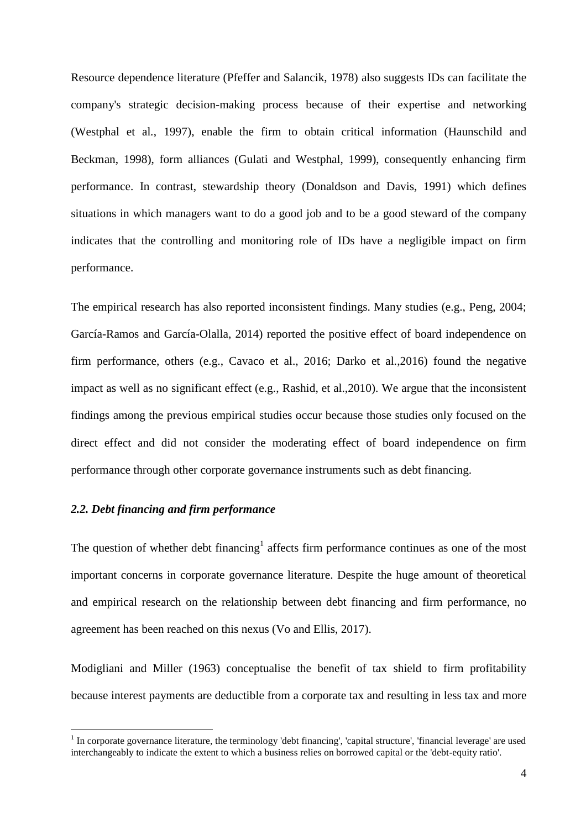Resource dependence literature (Pfeffer and Salancik, 1978) also suggests IDs can facilitate the company's strategic decision-making process because of their expertise and networking (Westphal et al*.*, 1997), enable the firm to obtain critical information (Haunschild and Beckman, 1998), form alliances (Gulati and Westphal, 1999), consequently enhancing firm performance. In contrast, stewardship theory (Donaldson and Davis, 1991) which defines situations in which managers want to do a good job and to be a good steward of the company indicates that the controlling and monitoring role of IDs have a negligible impact on firm performance.

The empirical research has also reported inconsistent findings. Many studies (e.g., Peng, 2004; García-Ramos and García-Olalla, 2014) reported the positive effect of board independence on firm performance, others (e.g., Cavaco et al., 2016; Darko et al*.*,2016) found the negative impact as well as no significant effect (e.g., Rashid, et al.,2010). We argue that the inconsistent findings among the previous empirical studies occur because those studies only focused on the direct effect and did not consider the moderating effect of board independence on firm performance through other corporate governance instruments such as debt financing.

# *2.2. Debt financing and firm performance*

 $\overline{a}$ 

The question of whether debt financing<sup>1</sup> affects firm performance continues as one of the most important concerns in corporate governance literature. Despite the huge amount of theoretical and empirical research on the relationship between debt financing and firm performance, no agreement has been reached on this nexus (Vo and Ellis, 2017).

Modigliani and Miller (1963) conceptualise the benefit of tax shield to firm profitability because interest payments are deductible from a corporate tax and resulting in less tax and more

 $1$  In corporate governance literature, the terminology 'debt financing', 'capital structure', 'financial leverage' are used interchangeably to indicate the extent to which a business relies on borrowed capital or the 'debt-equity ratio'.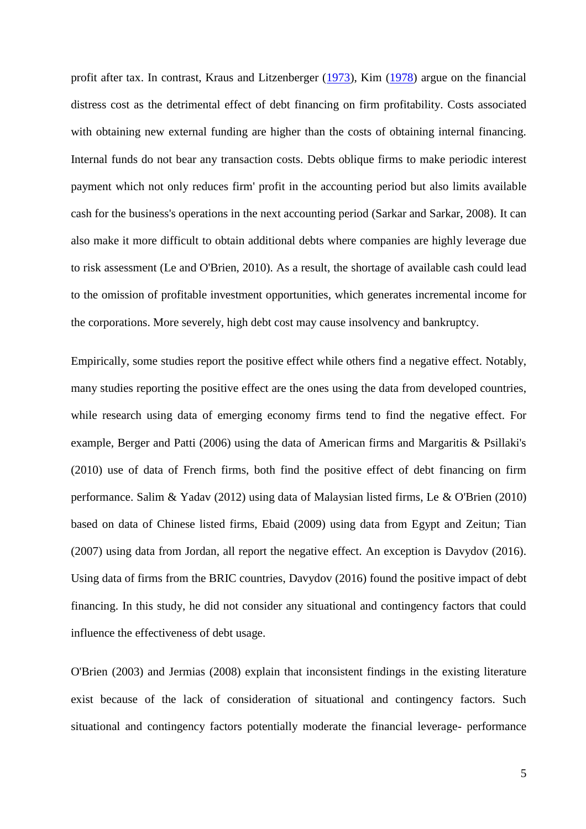profit after tax. In contrast, Kraus and Litzenberger [\(1973\)](https://link-springer-com.lcproxy.shu.ac.uk/article/10.1007/s11187-007-9088-4#CR30), Kim [\(1978\)](https://link-springer-com.lcproxy.shu.ac.uk/article/10.1007/s11187-007-9088-4#CR29) argue on the financial distress cost as the detrimental effect of debt financing on firm profitability. Costs associated with obtaining new external funding are higher than the costs of obtaining internal financing. Internal funds do not bear any transaction costs. Debts oblique firms to make periodic interest payment which not only reduces firm' profit in the accounting period but also limits available cash for the business's operations in the next accounting period (Sarkar and Sarkar, 2008). It can also make it more difficult to obtain additional debts where companies are highly leverage due to risk assessment (Le and O'Brien, 2010). As a result, the shortage of available cash could lead to the omission of profitable investment opportunities, which generates incremental income for the corporations. More severely, high debt cost may cause insolvency and bankruptcy.

Empirically, some studies report the positive effect while others find a negative effect. Notably, many studies reporting the positive effect are the ones using the data from developed countries, while research using data of emerging economy firms tend to find the negative effect. For example, Berger and Patti (2006) using the data of American firms and Margaritis & Psillaki's (2010) use of data of French firms, both find the positive effect of debt financing on firm performance. Salim & Yadav (2012) using data of Malaysian listed firms, Le & O'Brien (2010) based on data of Chinese listed firms, Ebaid (2009) using data from Egypt and Zeitun; Tian (2007) using data from Jordan, all report the negative effect. An exception is Davydov (2016). Using data of firms from the BRIC countries, Davydov (2016) found the positive impact of debt financing. In this study, he did not consider any situational and contingency factors that could influence the effectiveness of debt usage.

O'Brien (2003) and Jermias (2008) explain that inconsistent findings in the existing literature exist because of the lack of consideration of situational and contingency factors. Such situational and contingency factors potentially moderate the financial leverage- performance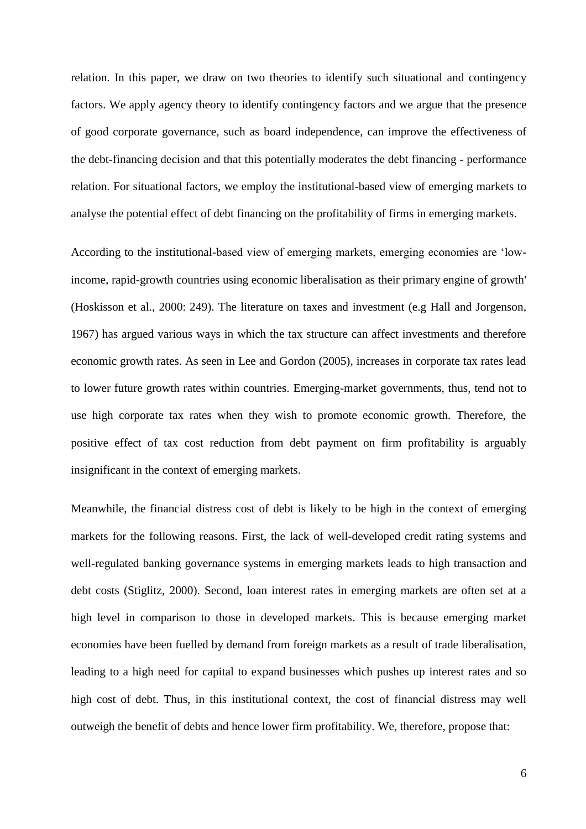relation. In this paper, we draw on two theories to identify such situational and contingency factors. We apply agency theory to identify contingency factors and we argue that the presence of good corporate governance, such as board independence, can improve the effectiveness of the debt-financing decision and that this potentially moderates the debt financing - performance relation. For situational factors, we employ the institutional-based view of emerging markets to analyse the potential effect of debt financing on the profitability of firms in emerging markets.

According to the institutional-based view of emerging markets, emerging economies are 'lowincome, rapid-growth countries using economic liberalisation as their primary engine of growth' (Hoskisson et al., 2000: 249). The literature on taxes and investment (e.g Hall and Jorgenson, 1967) has argued various ways in which the tax structure can affect investments and therefore economic growth rates. As seen in Lee and Gordon (2005), increases in corporate tax rates lead to lower future growth rates within countries. Emerging-market governments, thus, tend not to use high corporate tax rates when they wish to promote economic growth. Therefore, the positive effect of tax cost reduction from debt payment on firm profitability is arguably insignificant in the context of emerging markets.

Meanwhile, the financial distress cost of debt is likely to be high in the context of emerging markets for the following reasons. First, the lack of well-developed credit rating systems and well-regulated banking governance systems in emerging markets leads to high transaction and debt costs (Stiglitz, 2000). Second, loan interest rates in emerging markets are often set at a high level in comparison to those in developed markets. This is because emerging market economies have been fuelled by demand from foreign markets as a result of trade liberalisation, leading to a high need for capital to expand businesses which pushes up interest rates and so high cost of debt. Thus, in this institutional context, the cost of financial distress may well outweigh the benefit of debts and hence lower firm profitability. We, therefore, propose that: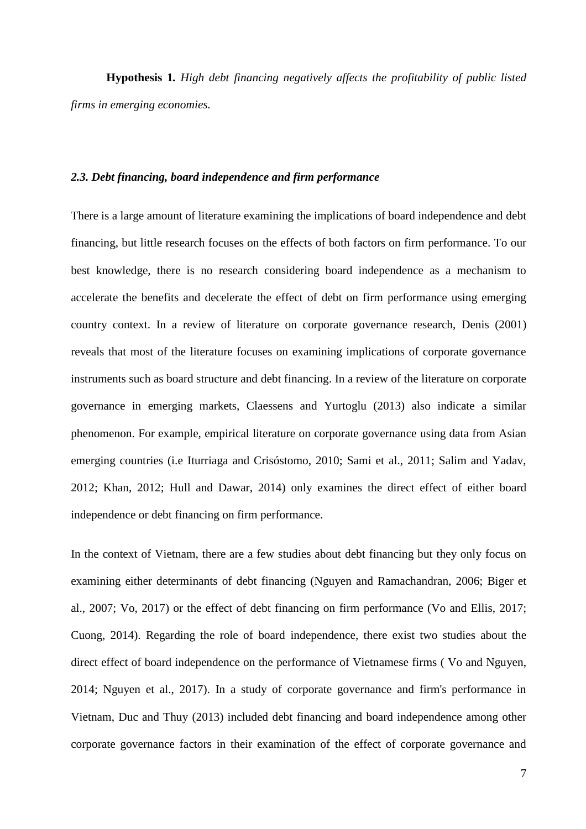**Hypothesis 1***. High debt financing negatively affects the profitability of public listed firms in emerging economies.*

# *2.3. Debt financing, board independence and firm performance*

There is a large amount of literature examining the implications of board independence and debt financing, but little research focuses on the effects of both factors on firm performance. To our best knowledge, there is no research considering board independence as a mechanism to accelerate the benefits and decelerate the effect of debt on firm performance using emerging country context. In a review of literature on corporate governance research, Denis (2001) reveals that most of the literature focuses on examining implications of corporate governance instruments such as board structure and debt financing. In a review of the literature on corporate governance in emerging markets, Claessens and Yurtoglu (2013) also indicate a similar phenomenon. For example, empirical literature on corporate governance using data from Asian emerging countries (i.e Iturriaga and Crisóstomo, 2010; Sami et al., 2011; Salim and Yadav, 2012; Khan, 2012; Hull and Dawar, 2014) only examines the direct effect of either board independence or debt financing on firm performance.

In the context of Vietnam, there are a few studies about debt financing but they only focus on examining either determinants of debt financing (Nguyen and Ramachandran, 2006; Biger et al., 2007; Vo, 2017) or the effect of debt financing on firm performance (Vo and Ellis, 2017; Cuong, 2014). Regarding the role of board independence, there exist two studies about the direct effect of board independence on the performance of Vietnamese firms ( Vo and Nguyen, 2014; Nguyen et al., 2017). In a study of corporate governance and firm's performance in Vietnam, Duc and Thuy (2013) included debt financing and board independence among other corporate governance factors in their examination of the effect of corporate governance and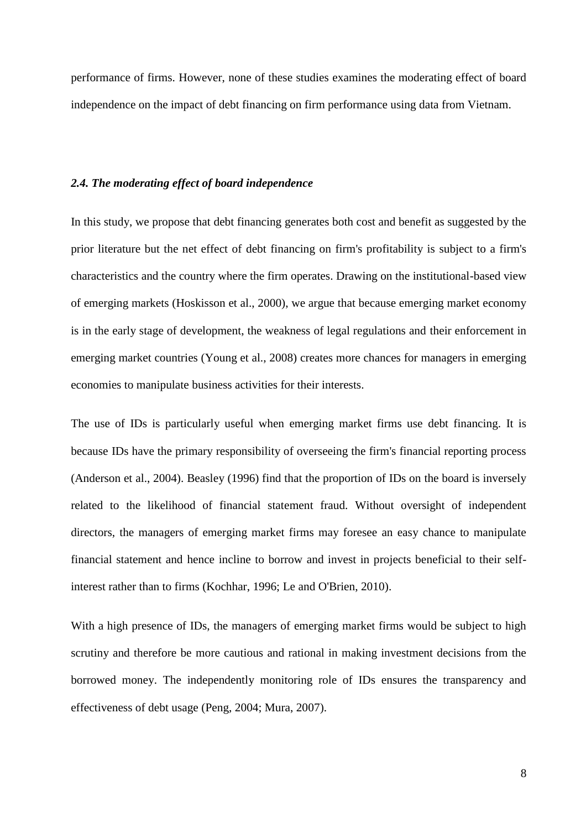performance of firms. However, none of these studies examines the moderating effect of board independence on the impact of debt financing on firm performance using data from Vietnam.

## *2.4. The moderating effect of board independence*

In this study, we propose that debt financing generates both cost and benefit as suggested by the prior literature but the net effect of debt financing on firm's profitability is subject to a firm's characteristics and the country where the firm operates. Drawing on the institutional-based view of emerging markets (Hoskisson et al., 2000), we argue that because emerging market economy is in the early stage of development, the weakness of legal regulations and their enforcement in emerging market countries (Young et al., 2008) creates more chances for managers in emerging economies to manipulate business activities for their interests.

The use of IDs is particularly useful when emerging market firms use debt financing. It is because IDs have the primary responsibility of overseeing the firm's financial reporting process (Anderson et al., 2004). Beasley (1996) find that the proportion of IDs on the board is inversely related to the likelihood of financial statement fraud. Without oversight of independent directors, the managers of emerging market firms may foresee an easy chance to manipulate financial statement and hence incline to borrow and invest in projects beneficial to their selfinterest rather than to firms (Kochhar, 1996; Le and O'Brien, 2010).

With a high presence of IDs, the managers of emerging market firms would be subject to high scrutiny and therefore be more cautious and rational in making investment decisions from the borrowed money. The independently monitoring role of IDs ensures the transparency and effectiveness of debt usage (Peng, 2004; Mura, 2007).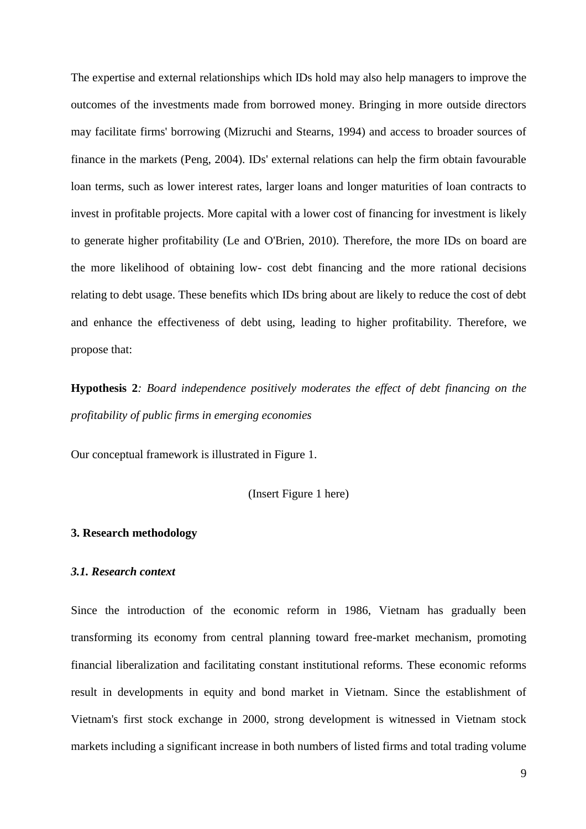The expertise and external relationships which IDs hold may also help managers to improve the outcomes of the investments made from borrowed money. Bringing in more outside directors may facilitate firms' borrowing (Mizruchi and Stearns, 1994) and access to broader sources of finance in the markets (Peng, 2004). IDs' external relations can help the firm obtain favourable loan terms, such as lower interest rates, larger loans and longer maturities of loan contracts to invest in profitable projects. More capital with a lower cost of financing for investment is likely to generate higher profitability (Le and O'Brien, 2010). Therefore, the more IDs on board are the more likelihood of obtaining low- cost debt financing and the more rational decisions relating to debt usage. These benefits which IDs bring about are likely to reduce the cost of debt and enhance the effectiveness of debt using, leading to higher profitability. Therefore, we propose that:

**Hypothesis 2***: Board independence positively moderates the effect of debt financing on the profitability of public firms in emerging economies*

Our conceptual framework is illustrated in Figure 1.

(Insert Figure 1 here)

## **3. Research methodology**

#### *3.1. Research context*

Since the introduction of the economic reform in 1986, Vietnam has gradually been transforming its economy from central planning toward free-market mechanism, promoting financial liberalization and facilitating constant institutional reforms. These economic reforms result in developments in equity and bond market in Vietnam. Since the establishment of Vietnam's first stock exchange in 2000, strong development is witnessed in Vietnam stock markets including a significant increase in both numbers of listed firms and total trading volume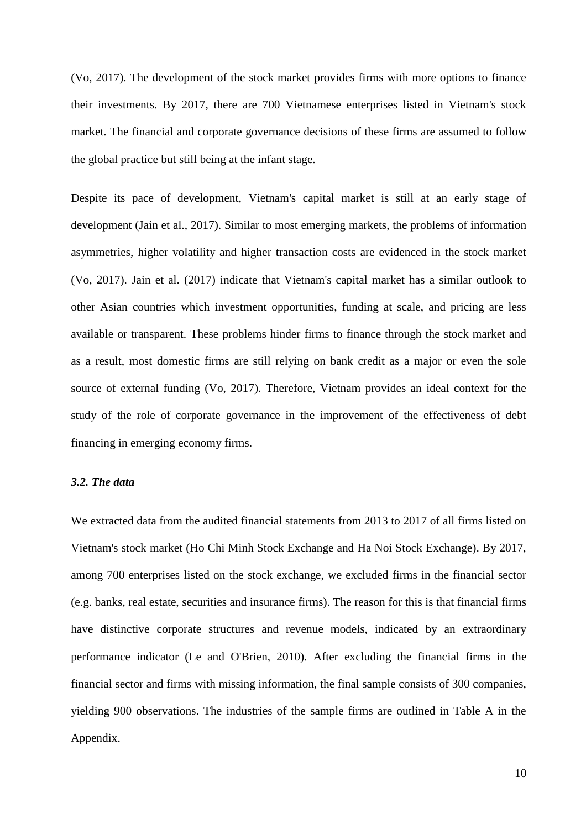(Vo, 2017). The development of the stock market provides firms with more options to finance their investments. By 2017, there are 700 Vietnamese enterprises listed in Vietnam's stock market. The financial and corporate governance decisions of these firms are assumed to follow the global practice but still being at the infant stage.

Despite its pace of development, Vietnam's capital market is still at an early stage of development (Jain et al., 2017). Similar to most emerging markets, the problems of information asymmetries, higher volatility and higher transaction costs are evidenced in the stock market (Vo, 2017). Jain et al. (2017) indicate that Vietnam's capital market has a similar outlook to other Asian countries which investment opportunities, funding at scale, and pricing are less available or transparent. These problems hinder firms to finance through the stock market and as a result, most domestic firms are still relying on bank credit as a major or even the sole source of external funding (Vo, 2017). Therefore, Vietnam provides an ideal context for the study of the role of corporate governance in the improvement of the effectiveness of debt financing in emerging economy firms.

# *3.2. The data*

We extracted data from the audited financial statements from 2013 to 2017 of all firms listed on Vietnam's stock market (Ho Chi Minh Stock Exchange and Ha Noi Stock Exchange). By 2017, among 700 enterprises listed on the stock exchange, we excluded firms in the financial sector (e.g. banks, real estate, securities and insurance firms). The reason for this is that financial firms have distinctive corporate structures and revenue models, indicated by an extraordinary performance indicator (Le and O'Brien, 2010). After excluding the financial firms in the financial sector and firms with missing information, the final sample consists of 300 companies, yielding 900 observations. The industries of the sample firms are outlined in Table A in the Appendix.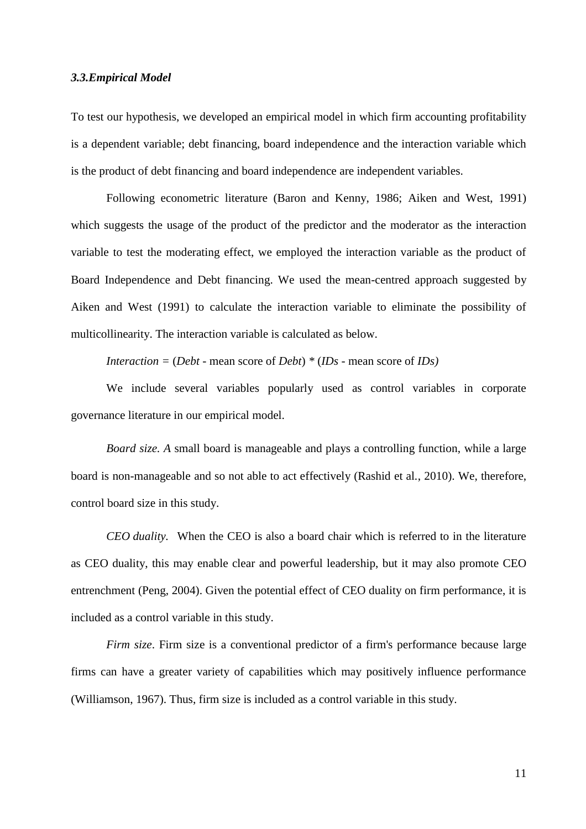# *3.3.Empirical Model*

To test our hypothesis, we developed an empirical model in which firm accounting profitability is a dependent variable; debt financing, board independence and the interaction variable which is the product of debt financing and board independence are independent variables.

Following econometric literature (Baron and Kenny, 1986; Aiken and West, 1991) which suggests the usage of the product of the predictor and the moderator as the interaction variable to test the moderating effect, we employed the interaction variable as the product of Board Independence and Debt financing. We used the mean-centred approach suggested by Aiken and West (1991) to calculate the interaction variable to eliminate the possibility of multicollinearity. The interaction variable is calculated as below.

*Interaction* =  $(Debt - mean score of Debt) * (IDs - mean score of IDs)$ 

We include several variables popularly used as control variables in corporate governance literature in our empirical model.

*Board size. A* small board is manageable and plays a controlling function, while a large board is non-manageable and so not able to act effectively (Rashid et al*.*, 2010). We, therefore, control board size in this study.

*CEO duality.* When the CEO is also a board chair which is referred to in the literature as CEO duality, this may enable clear and powerful leadership, but it may also promote CEO entrenchment (Peng, 2004). Given the potential effect of CEO duality on firm performance, it is included as a control variable in this study.

*Firm size*. Firm size is a conventional predictor of a firm's performance because large firms can have a greater variety of capabilities which may positively influence performance (Williamson, 1967). Thus, firm size is included as a control variable in this study.

11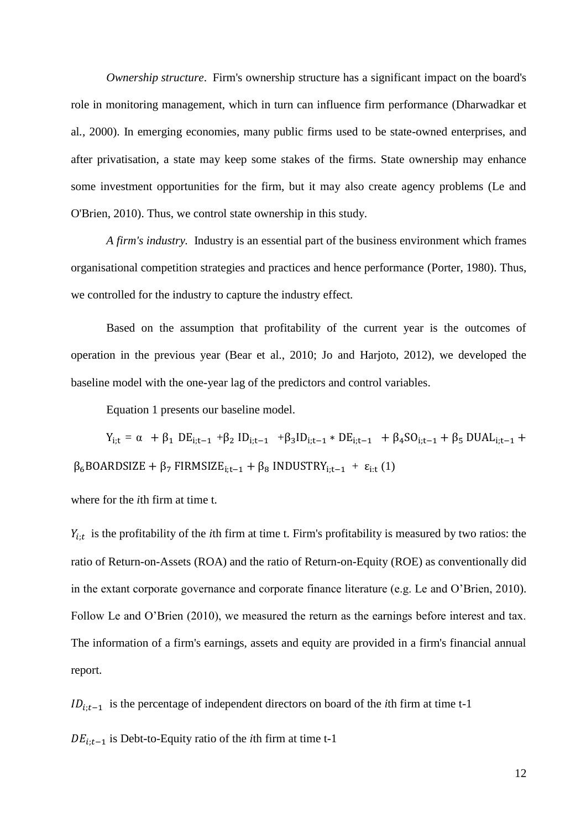*Ownership structure*. Firm's ownership structure has a significant impact on the board's role in monitoring management, which in turn can influence firm performance (Dharwadkar et al*.*, 2000). In emerging economies, many public firms used to be state-owned enterprises, and after privatisation, a state may keep some stakes of the firms. State ownership may enhance some investment opportunities for the firm, but it may also create agency problems (Le and O'Brien, 2010). Thus, we control state ownership in this study.

*A firm's industry.* Industry is an essential part of the business environment which frames organisational competition strategies and practices and hence performance (Porter, 1980). Thus, we controlled for the industry to capture the industry effect.

Based on the assumption that profitability of the current year is the outcomes of operation in the previous year (Bear et al., 2010; Jo and Harjoto, 2012), we developed the baseline model with the one-year lag of the predictors and control variables.

Equation 1 presents our baseline model.

 $Y_{i;t} = α + β_1 DE_{i;t-1} + β_2 ID_{i;t-1} + β_3 ID_{i;t-1} * DE_{i;t-1} + β_4 SO_{i;t-1} + β_5 DUAL_{i;t-1} +$  $\beta_6$ BOARDSIZE +  $\beta_7$  FIRMSIZE<sub>i;t−1</sub> +  $\beta_8$  INDUSTRY<sub>i;t−1</sub> +  $\varepsilon_{i:t}$  (1)

where for the *i*th firm at time t.

 $Y_{i,t}$  is the profitability of the *i*th firm at time t. Firm's profitability is measured by two ratios: the ratio of Return-on-Assets (ROA) and the ratio of Return-on-Equity (ROE) as conventionally did in the extant corporate governance and corporate finance literature (e.g. Le and O'Brien, 2010). Follow Le and O'Brien (2010), we measured the return as the earnings before interest and tax. The information of a firm's earnings, assets and equity are provided in a firm's financial annual report.

 $ID_{i:t-1}$  is the percentage of independent directors on board of the *i*th firm at time t-1

 $DE_{i:t-1}$  is Debt-to-Equity ratio of the *i*th firm at time t-1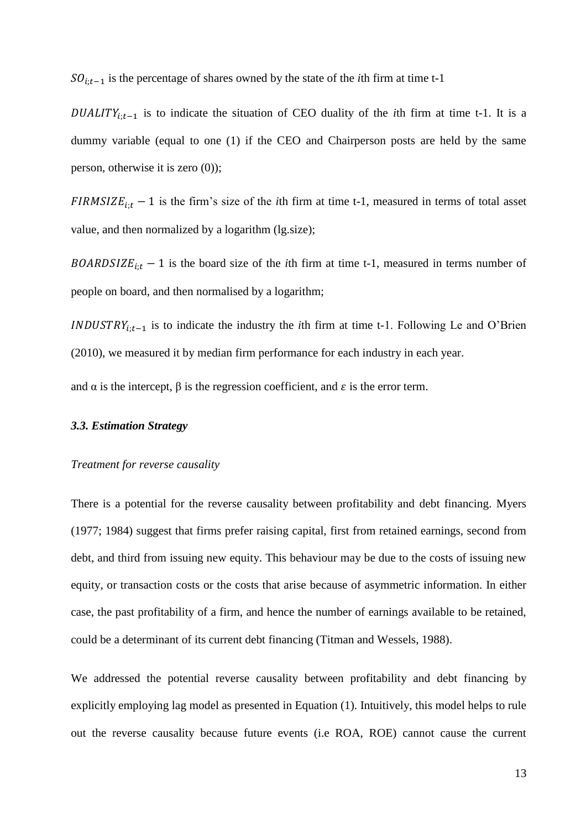$SO_{i,t-1}$  is the percentage of shares owned by the state of the *i*th firm at time t-1

 $DUALITY_{i,t-1}$  is to indicate the situation of CEO duality of the *i*th firm at time t-1. It is a dummy variable (equal to one (1) if the CEO and Chairperson posts are held by the same person, otherwise it is zero (0));

 $FIRMSIZE_{i,t} - 1$  is the firm's size of the *i*th firm at time t-1, measured in terms of total asset value, and then normalized by a logarithm (lg.size);

 $BOARDSIZE_{i:t} - 1$  is the board size of the *i*th firm at time t-1, measured in terms number of people on board, and then normalised by a logarithm;

*INDUSTRY*<sub>i;t-1</sub> is to indicate the industry the *i*th firm at time t-1. Following Le and O'Brien (2010), we measured it by median firm performance for each industry in each year.

and  $\alpha$  is the intercept,  $\beta$  is the regression coefficient, and  $\varepsilon$  is the error term.

# *3.3. Estimation Strategy*

#### *Treatment for reverse causality*

There is a potential for the reverse causality between profitability and debt financing. Myers (1977; 1984) suggest that firms prefer raising capital, first from retained earnings, second from debt, and third from issuing new equity. This behaviour may be due to the costs of issuing new equity, or transaction costs or the costs that arise because of asymmetric information. In either case, the past profitability of a firm, and hence the number of earnings available to be retained, could be a determinant of its current debt financing (Titman and Wessels, 1988).

We addressed the potential reverse causality between profitability and debt financing by explicitly employing lag model as presented in Equation (1). Intuitively, this model helps to rule out the reverse causality because future events (i.e ROA, ROE) cannot cause the current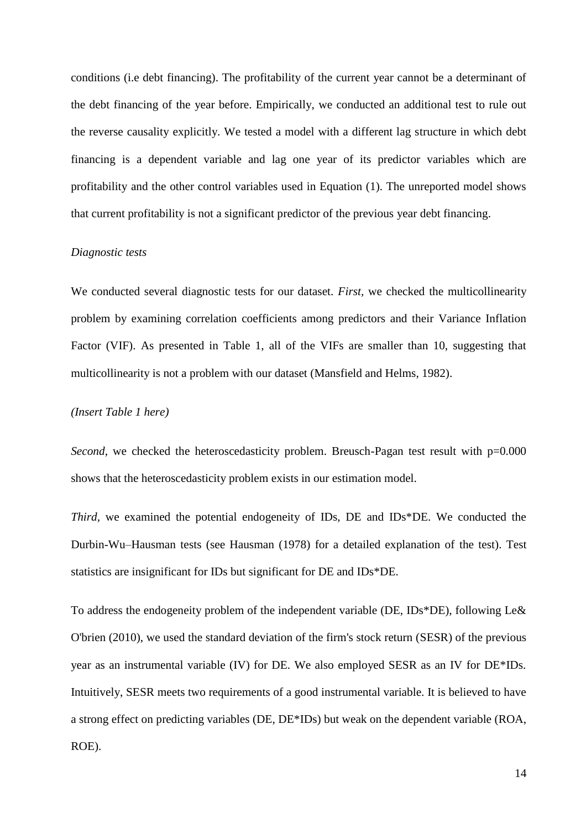conditions (i.e debt financing). The profitability of the current year cannot be a determinant of the debt financing of the year before. Empirically, we conducted an additional test to rule out the reverse causality explicitly. We tested a model with a different lag structure in which debt financing is a dependent variable and lag one year of its predictor variables which are profitability and the other control variables used in Equation (1). The unreported model shows that current profitability is not a significant predictor of the previous year debt financing.

## *Diagnostic tests*

We conducted several diagnostic tests for our dataset. *First,* we checked the multicollinearity problem by examining correlation coefficients among predictors and their Variance Inflation Factor (VIF). As presented in Table 1, all of the VIFs are smaller than 10, suggesting that multicollinearity is not a problem with our dataset (Mansfield and Helms, 1982).

#### *(Insert Table 1 here)*

*Second*, we checked the heteroscedasticity problem. Breusch-Pagan test result with p=0.000 shows that the heteroscedasticity problem exists in our estimation model.

*Third,* we examined the potential endogeneity of IDs, DE and IDs\*DE. We conducted the Durbin-Wu–Hausman tests (see Hausman (1978) for a detailed explanation of the test). Test statistics are insignificant for IDs but significant for DE and IDs\*DE.

To address the endogeneity problem of the independent variable (DE, IDs\*DE), following Le& O'brien (2010), we used the standard deviation of the firm's stock return (SESR) of the previous year as an instrumental variable (IV) for DE. We also employed SESR as an IV for DE\*IDs. Intuitively, SESR meets two requirements of a good instrumental variable. It is believed to have a strong effect on predicting variables (DE, DE\*IDs) but weak on the dependent variable (ROA, ROE).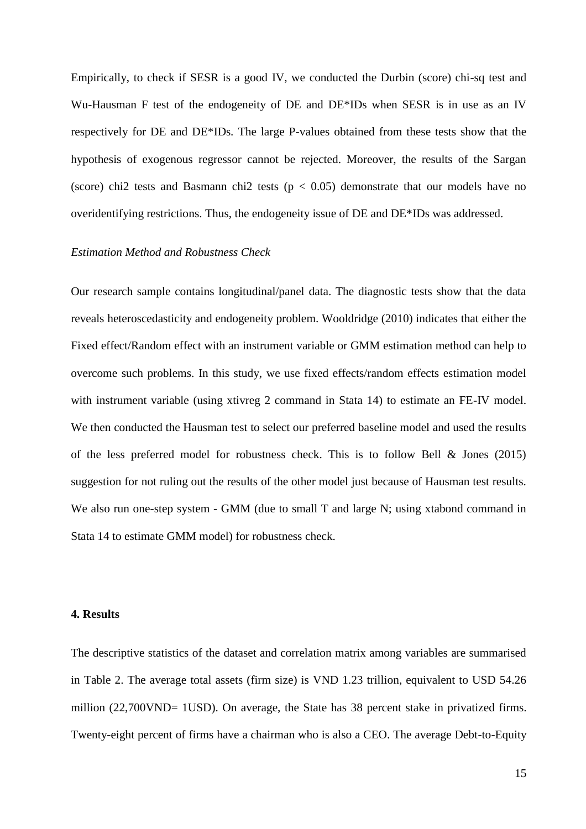Empirically, to check if SESR is a good IV, we conducted the Durbin (score) chi-sq test and Wu-Hausman F test of the endogeneity of DE and DE\*IDs when SESR is in use as an IV respectively for DE and DE\*IDs*.* The large P-values obtained from these tests show that the hypothesis of exogenous regressor cannot be rejected. Moreover, the results of the Sargan (score) chi2 tests and Basmann chi2 tests ( $p < 0.05$ ) demonstrate that our models have no overidentifying restrictions. Thus, the endogeneity issue of DE and DE\*IDs was addressed.

## *Estimation Method and Robustness Check*

Our research sample contains longitudinal/panel data. The diagnostic tests show that the data reveals heteroscedasticity and endogeneity problem. Wooldridge (2010) indicates that either the Fixed effect/Random effect with an instrument variable or GMM estimation method can help to overcome such problems. In this study, we use fixed effects/random effects estimation model with instrument variable (using xtivreg 2 command in Stata 14) to estimate an FE-IV model. We then conducted the Hausman test to select our preferred baseline model and used the results of the less preferred model for robustness check. This is to follow Bell & Jones (2015) suggestion for not ruling out the results of the other model just because of Hausman test results. We also run one-step system - GMM (due to small T and large N; using xtabond command in Stata 14 to estimate GMM model) for robustness check.

# **4. Results**

The descriptive statistics of the dataset and correlation matrix among variables are summarised in Table 2. The average total assets (firm size) is VND 1.23 trillion, equivalent to USD 54.26 million (22,700VND= 1USD). On average, the State has 38 percent stake in privatized firms. Twenty-eight percent of firms have a chairman who is also a CEO. The average Debt-to-Equity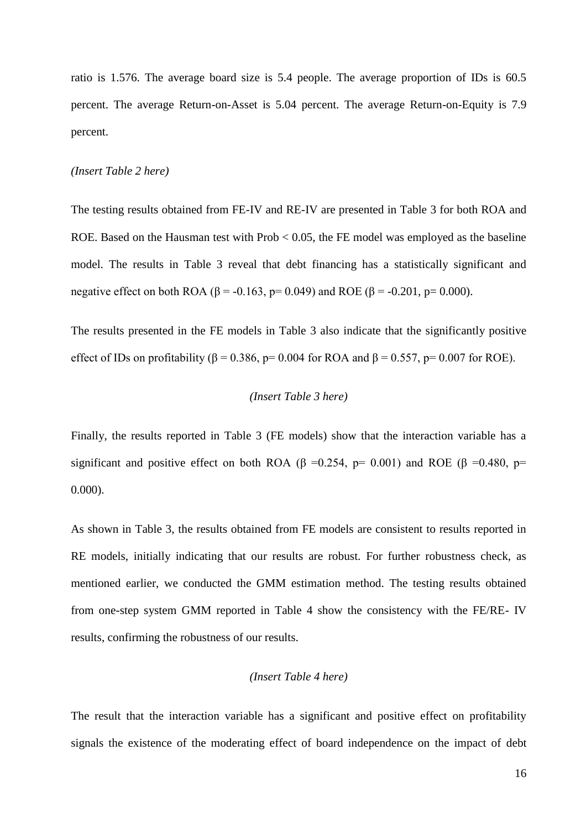ratio is 1.576. The average board size is 5.4 people. The average proportion of IDs is 60.5 percent. The average Return-on-Asset is 5.04 percent. The average Return-on-Equity is 7.9 percent.

#### *(Insert Table 2 here)*

The testing results obtained from FE-IV and RE-IV are presented in Table 3 for both ROA and ROE. Based on the Hausman test with Prob < 0.05, the FE model was employed as the baseline model. The results in Table 3 reveal that debt financing has a statistically significant and negative effect on both ROA (β = -0.163, p= 0.049) and ROE (β = -0.201, p= 0.000).

The results presented in the FE models in Table 3 also indicate that the significantly positive effect of IDs on profitability ( $\beta$  = 0.386, p= 0.004 for ROA and  $\beta$  = 0.557, p= 0.007 for ROE).

# *(Insert Table 3 here)*

Finally, the results reported in Table 3 (FE models) show that the interaction variable has a significant and positive effect on both ROA ( $\beta$  =0.254, p= 0.001) and ROE ( $\beta$  =0.480, p= 0.000).

As shown in Table 3, the results obtained from FE models are consistent to results reported in RE models, initially indicating that our results are robust. For further robustness check, as mentioned earlier, we conducted the GMM estimation method. The testing results obtained from one-step system GMM reported in Table 4 show the consistency with the FE/RE- IV results, confirming the robustness of our results.

# *(Insert Table 4 here)*

The result that the interaction variable has a significant and positive effect on profitability signals the existence of the moderating effect of board independence on the impact of debt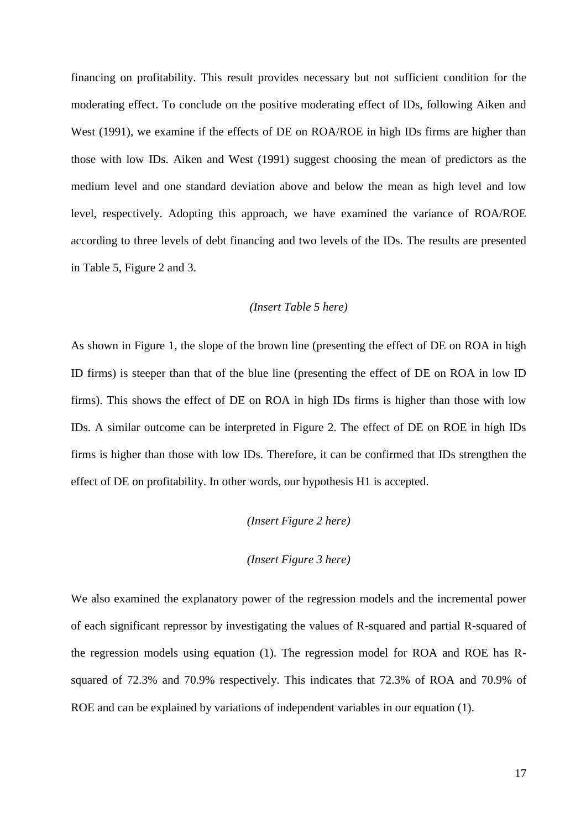financing on profitability. This result provides necessary but not sufficient condition for the moderating effect. To conclude on the positive moderating effect of IDs, following Aiken and West (1991), we examine if the effects of DE on ROA/ROE in high IDs firms are higher than those with low IDs. Aiken and West (1991) suggest choosing the mean of predictors as the medium level and one standard deviation above and below the mean as high level and low level, respectively. Adopting this approach, we have examined the variance of ROA/ROE according to three levels of debt financing and two levels of the IDs. The results are presented in Table 5, Figure 2 and 3.

# *(Insert Table 5 here)*

As shown in Figure 1, the slope of the brown line (presenting the effect of DE on ROA in high ID firms) is steeper than that of the blue line (presenting the effect of DE on ROA in low ID firms). This shows the effect of DE on ROA in high IDs firms is higher than those with low IDs. A similar outcome can be interpreted in Figure 2. The effect of DE on ROE in high IDs firms is higher than those with low IDs. Therefore, it can be confirmed that IDs strengthen the effect of DE on profitability. In other words, our hypothesis H1 is accepted.

# *(Insert Figure 2 here)*

# *(Insert Figure 3 here)*

We also examined the explanatory power of the regression models and the incremental power of each significant repressor by investigating the values of R-squared and partial R-squared of the regression models using equation (1). The regression model for ROA and ROE has Rsquared of 72.3% and 70.9% respectively. This indicates that 72.3% of ROA and 70.9% of ROE and can be explained by variations of independent variables in our equation (1).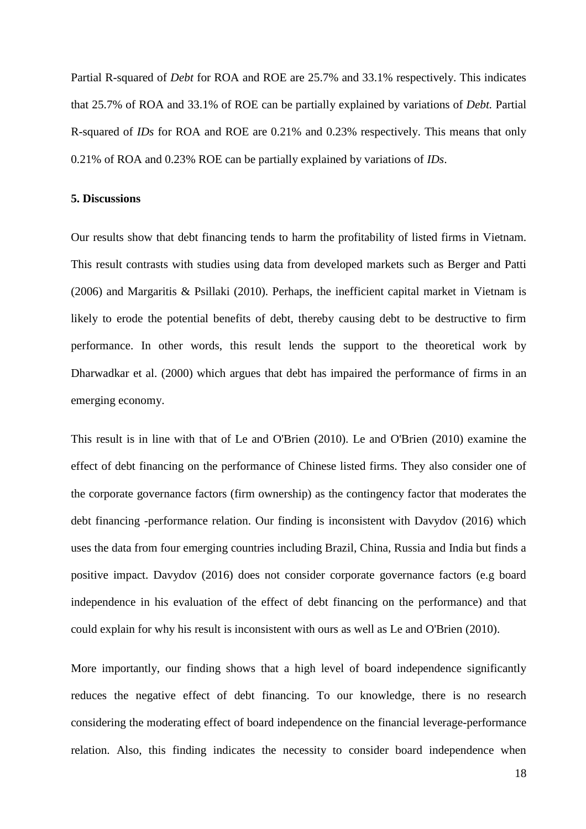Partial R-squared of *Debt* for ROA and ROE are 25.7% and 33.1% respectively. This indicates that 25.7% of ROA and 33.1% of ROE can be partially explained by variations of *Debt.* Partial R-squared of *IDs* for ROA and ROE are 0.21% and 0.23% respectively. This means that only 0.21% of ROA and 0.23% ROE can be partially explained by variations of *IDs*.

#### **5. Discussions**

Our results show that debt financing tends to harm the profitability of listed firms in Vietnam. This result contrasts with studies using data from developed markets such as Berger and Patti (2006) and Margaritis & Psillaki (2010). Perhaps, the inefficient capital market in Vietnam is likely to erode the potential benefits of debt, thereby causing debt to be destructive to firm performance. In other words, this result lends the support to the theoretical work by Dharwadkar et al. (2000) which argues that debt has impaired the performance of firms in an emerging economy.

This result is in line with that of Le and O'Brien (2010). Le and O'Brien (2010) examine the effect of debt financing on the performance of Chinese listed firms. They also consider one of the corporate governance factors (firm ownership) as the contingency factor that moderates the debt financing -performance relation. Our finding is inconsistent with Davydov (2016) which uses the data from four emerging countries including Brazil, China, Russia and India but finds a positive impact. Davydov (2016) does not consider corporate governance factors (e.g board independence in his evaluation of the effect of debt financing on the performance) and that could explain for why his result is inconsistent with ours as well as Le and O'Brien (2010).

More importantly, our finding shows that a high level of board independence significantly reduces the negative effect of debt financing. To our knowledge, there is no research considering the moderating effect of board independence on the financial leverage-performance relation. Also, this finding indicates the necessity to consider board independence when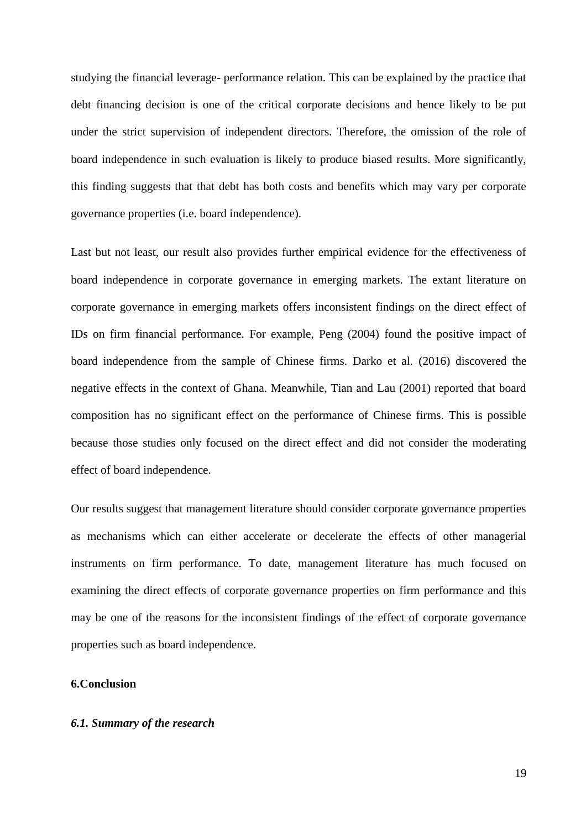studying the financial leverage- performance relation. This can be explained by the practice that debt financing decision is one of the critical corporate decisions and hence likely to be put under the strict supervision of independent directors. Therefore, the omission of the role of board independence in such evaluation is likely to produce biased results. More significantly, this finding suggests that that debt has both costs and benefits which may vary per corporate governance properties (i.e. board independence).

Last but not least, our result also provides further empirical evidence for the effectiveness of board independence in corporate governance in emerging markets. The extant literature on corporate governance in emerging markets offers inconsistent findings on the direct effect of IDs on firm financial performance. For example, Peng (2004) found the positive impact of board independence from the sample of Chinese firms. Darko et al*.* (2016) discovered the negative effects in the context of Ghana. Meanwhile, Tian and Lau (2001) reported that board composition has no significant effect on the performance of Chinese firms. This is possible because those studies only focused on the direct effect and did not consider the moderating effect of board independence.

Our results suggest that management literature should consider corporate governance properties as mechanisms which can either accelerate or decelerate the effects of other managerial instruments on firm performance. To date, management literature has much focused on examining the direct effects of corporate governance properties on firm performance and this may be one of the reasons for the inconsistent findings of the effect of corporate governance properties such as board independence.

# **6.Conclusion**

# *6.1. Summary of the research*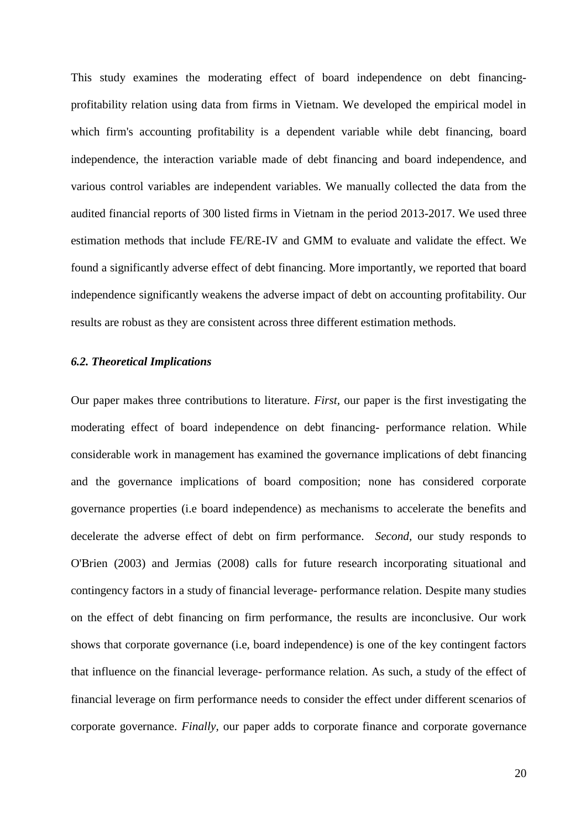This study examines the moderating effect of board independence on debt financingprofitability relation using data from firms in Vietnam. We developed the empirical model in which firm's accounting profitability is a dependent variable while debt financing, board independence, the interaction variable made of debt financing and board independence, and various control variables are independent variables. We manually collected the data from the audited financial reports of 300 listed firms in Vietnam in the period 2013-2017. We used three estimation methods that include FE/RE-IV and GMM to evaluate and validate the effect. We found a significantly adverse effect of debt financing. More importantly, we reported that board independence significantly weakens the adverse impact of debt on accounting profitability. Our results are robust as they are consistent across three different estimation methods.

# *6.2. Theoretical Implications*

Our paper makes three contributions to literature. *First,* our paper is the first investigating the moderating effect of board independence on debt financing- performance relation. While considerable work in management has examined the governance implications of debt financing and the governance implications of board composition; none has considered corporate governance properties (i.e board independence) as mechanisms to accelerate the benefits and decelerate the adverse effect of debt on firm performance. *Second,* our study responds to O'Brien (2003) and Jermias (2008) calls for future research incorporating situational and contingency factors in a study of financial leverage- performance relation. Despite many studies on the effect of debt financing on firm performance, the results are inconclusive. Our work shows that corporate governance (i.e, board independence) is one of the key contingent factors that influence on the financial leverage- performance relation. As such, a study of the effect of financial leverage on firm performance needs to consider the effect under different scenarios of corporate governance. *Finally,* our paper adds to corporate finance and corporate governance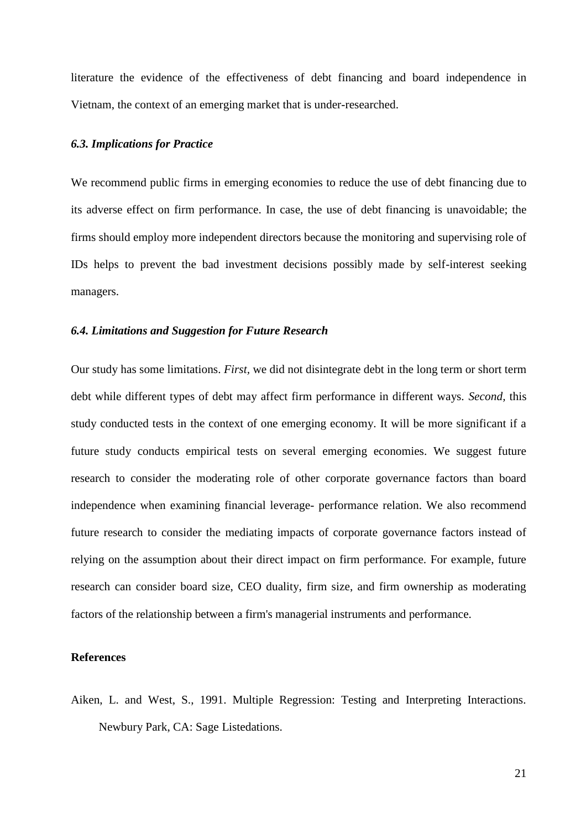literature the evidence of the effectiveness of debt financing and board independence in Vietnam, the context of an emerging market that is under-researched.

#### *6.3. Implications for Practice*

We recommend public firms in emerging economies to reduce the use of debt financing due to its adverse effect on firm performance. In case, the use of debt financing is unavoidable; the firms should employ more independent directors because the monitoring and supervising role of IDs helps to prevent the bad investment decisions possibly made by self-interest seeking managers.

# *6.4. Limitations and Suggestion for Future Research*

Our study has some limitations. *First,* we did not disintegrate debt in the long term or short term debt while different types of debt may affect firm performance in different ways. *Second,* this study conducted tests in the context of one emerging economy. It will be more significant if a future study conducts empirical tests on several emerging economies. We suggest future research to consider the moderating role of other corporate governance factors than board independence when examining financial leverage- performance relation. We also recommend future research to consider the mediating impacts of corporate governance factors instead of relying on the assumption about their direct impact on firm performance. For example, future research can consider board size, CEO duality, firm size, and firm ownership as moderating factors of the relationship between a firm's managerial instruments and performance.

## **References**

Aiken, L. and West, S., 1991. Multiple Regression: Testing and Interpreting Interactions*.*  Newbury Park, CA: Sage Listedations.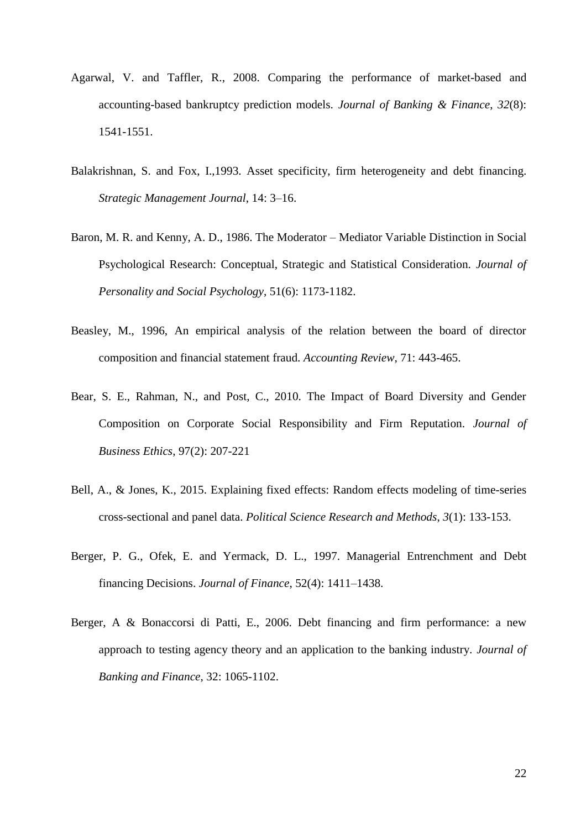- Agarwal, V. and Taffler, R., 2008. Comparing the performance of market-based and accounting-based bankruptcy prediction models. *Journal of Banking & Finance*, *32*(8): 1541-1551.
- Balakrishnan, S. and Fox, I.,1993. Asset specificity, firm heterogeneity and debt financing. *Strategic Management Journal*, 14: 3–16.
- Baron, M. R. and Kenny, A. D., 1986. The Moderator Mediator Variable Distinction in Social Psychological Research: Conceptual, Strategic and Statistical Consideration. *Journal of Personality and Social Psychology*, 51(6): 1173-1182.
- Beasley, M., 1996, An empirical analysis of the relation between the board of director composition and financial statement fraud. *Accounting Review*, 71: 443-465.
- Bear, S. E., Rahman, N., and Post, C., 2010. The Impact of Board Diversity and Gender Composition on Corporate Social Responsibility and Firm Reputation. *Journal of Business Ethics*, 97(2): 207-221
- Bell, A., & Jones, K., 2015. Explaining fixed effects: Random effects modeling of time-series cross-sectional and panel data. *Political Science Research and Methods*, *3*(1): 133-153.
- Berger, P. G., Ofek, E. and Yermack, D. L., 1997. Managerial Entrenchment and Debt financing Decisions. *Journal of Finance*, 52(4): 1411–1438.
- Berger, A & Bonaccorsi di Patti, E., 2006. Debt financing and firm performance: a new approach to testing agency theory and an application to the banking industry. *Journal of Banking and Finance*, 32: 1065-1102.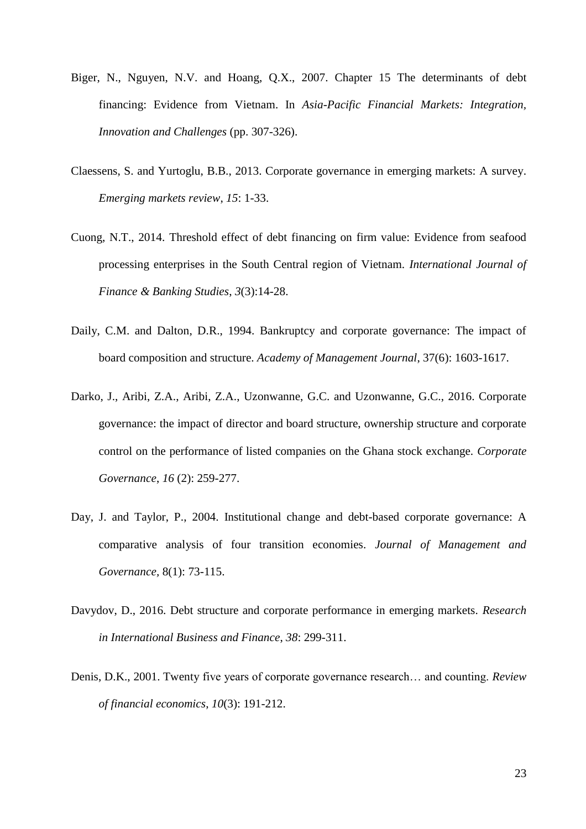- Biger, N., Nguyen, N.V. and Hoang, Q.X., 2007. Chapter 15 The determinants of debt financing: Evidence from Vietnam. In *Asia-Pacific Financial Markets: Integration, Innovation and Challenges* (pp. 307-326).
- Claessens, S. and Yurtoglu, B.B., 2013. Corporate governance in emerging markets: A survey. *Emerging markets review*, *15*: 1-33.
- Cuong, N.T., 2014. Threshold effect of debt financing on firm value: Evidence from seafood processing enterprises in the South Central region of Vietnam. *International Journal of Finance & Banking Studies*, *3*(3):14-28.
- Daily, C.M. and Dalton, D.R., 1994. Bankruptcy and corporate governance: The impact of board composition and structure. *Academy of Management Journal*, 37(6): 1603-1617.
- Darko, J., Aribi, Z.A., Aribi, Z.A., Uzonwanne, G.C. and Uzonwanne, G.C., 2016. Corporate governance: the impact of director and board structure, ownership structure and corporate control on the performance of listed companies on the Ghana stock exchange. *Corporate Governance*, *16* (2): 259-277.
- Day, J. and Taylor, P., 2004. Institutional change and debt-based corporate governance: A comparative analysis of four transition economies. *Journal of Management and Governance,* 8(1): 73-115.
- Davydov, D., 2016. Debt structure and corporate performance in emerging markets. *Research in International Business and Finance*, *38*: 299-311.
- Denis, D.K., 2001. Twenty five years of corporate governance research… and counting. *Review of financial economics*, *10*(3): 191-212.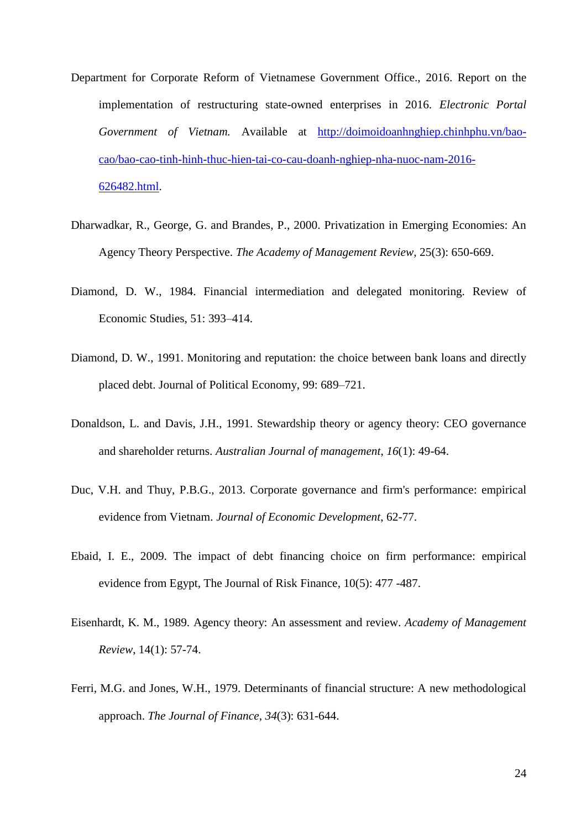- Department for Corporate Reform of Vietnamese Government Office., 2016. Report on the implementation of restructuring state-owned enterprises in 2016. *Electronic Portal Government of Vietnam.* Available at [http://doimoidoanhnghiep.chinhphu.vn/bao](http://doimoidoanhnghiep.chinhphu.vn/bao-cao/bao-cao-tinh-hinh-thuc-hien-tai-co-cau-doanh-nghiep-nha-nuoc-nam-2016-626482.html)[cao/bao-cao-tinh-hinh-thuc-hien-tai-co-cau-doanh-nghiep-nha-nuoc-nam-2016-](http://doimoidoanhnghiep.chinhphu.vn/bao-cao/bao-cao-tinh-hinh-thuc-hien-tai-co-cau-doanh-nghiep-nha-nuoc-nam-2016-626482.html) [626482.html.](http://doimoidoanhnghiep.chinhphu.vn/bao-cao/bao-cao-tinh-hinh-thuc-hien-tai-co-cau-doanh-nghiep-nha-nuoc-nam-2016-626482.html)
- Dharwadkar, R., George, G. and Brandes, P., 2000. Privatization in Emerging Economies: An Agency Theory Perspective. *The Academy of Management Review,* 25(3): 650-669.
- Diamond, D. W., 1984. Financial intermediation and delegated monitoring. Review of Economic Studies, 51: 393–414.
- Diamond, D. W., 1991. Monitoring and reputation: the choice between bank loans and directly placed debt. Journal of Political Economy, 99: 689–721.
- Donaldson, L. and Davis, J.H., 1991. Stewardship theory or agency theory: CEO governance and shareholder returns. *Australian Journal of management*, *16*(1): 49-64.
- Duc, V.H. and Thuy, P.B.G., 2013. Corporate governance and firm's performance: empirical evidence from Vietnam. *Journal of Economic Development*, 62-77.
- Ebaid, I. E., 2009. The impact of debt financing choice on firm performance: empirical evidence from Egypt, The Journal of Risk Finance, 10(5): 477 -487.
- Eisenhardt, K. M., 1989. Agency theory: An assessment and review. *Academy of Management Review*, 14(1): 57-74.
- Ferri, M.G. and Jones, W.H., 1979. Determinants of financial structure: A new methodological approach. *The Journal of Finance*, *34*(3): 631-644.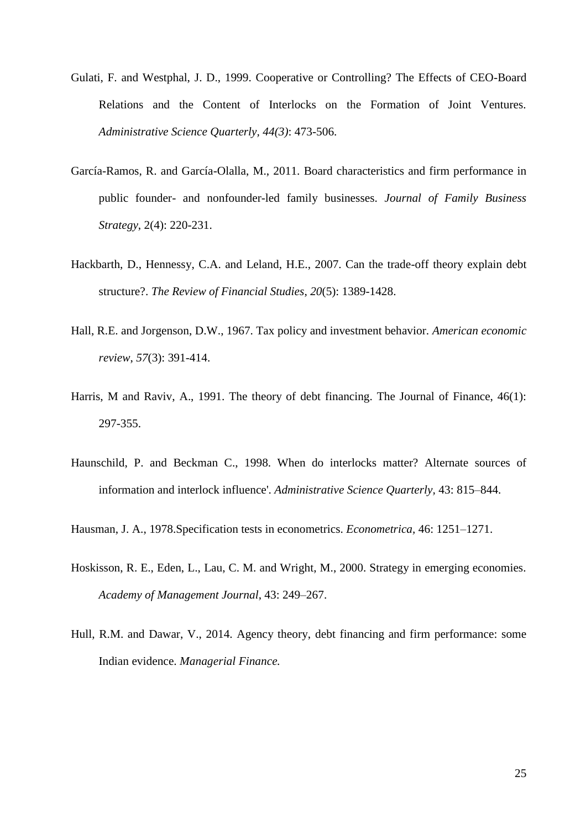- Gulati, F. and Westphal, J. D., 1999. Cooperative or Controlling? The Effects of CEO-Board Relations and the Content of Interlocks on the Formation of Joint Ventures. *Administrative Science Quarterly, 44(3)*: 473-506.
- García-Ramos, R. and García-Olalla, M., 2011. Board characteristics and firm performance in public founder- and nonfounder-led family businesses. *Journal of Family Business Strategy*, 2(4): 220-231.
- Hackbarth, D., Hennessy, C.A. and Leland, H.E., 2007. Can the trade-off theory explain debt structure?. *The Review of Financial Studies*, *20*(5): 1389-1428.
- Hall, R.E. and Jorgenson, D.W., 1967. Tax policy and investment behavior. *American economic review*, *57*(3): 391-414.
- Harris, M and Raviv, A., 1991. The theory of debt financing. The Journal of Finance, 46(1): 297-355.
- Haunschild, P. and Beckman C., 1998. When do interlocks matter? Alternate sources of information and interlock influence'. *Administrative Science Quarterly,* 43: 815–844.

Hausman, J. A., 1978.Specification tests in econometrics. *Econometrica,* 46: 1251–1271.

- Hoskisson, R. E., Eden, L., Lau, C. M. and Wright, M., 2000. Strategy in emerging economies. *Academy of Management Journal*, 43: 249–267.
- Hull, R.M. and Dawar, V., 2014. Agency theory, debt financing and firm performance: some Indian evidence. *Managerial Finance.*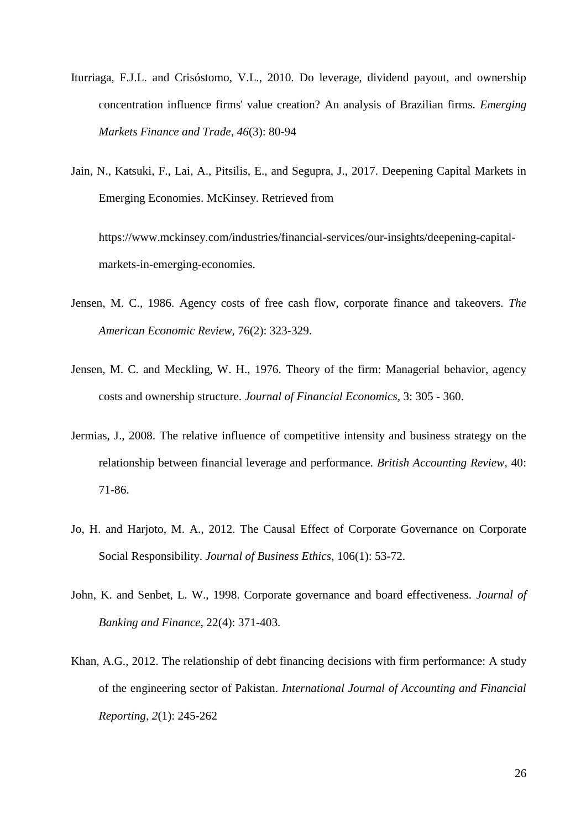- Iturriaga, F.J.L. and Crisóstomo, V.L., 2010. Do leverage, dividend payout, and ownership concentration influence firms' value creation? An analysis of Brazilian firms. *Emerging Markets Finance and Trade*, *46*(3): 80-94
- Jain, N., Katsuki, F., Lai, A., Pitsilis, E., and Segupra, J., 2017. Deepening Capital Markets in Emerging Economies. McKinsey. Retrieved from

https://www.mckinsey.com/industries/financial-services/our-insights/deepening-capitalmarkets-in-emerging-economies.

- Jensen, M. C., 1986. Agency costs of free cash flow, corporate finance and takeovers. *The American Economic Review,* 76(2): 323-329.
- Jensen, M. C. and Meckling, W. H., 1976. Theory of the firm: Managerial behavior, agency costs and ownership structure. *Journal of Financial Economics,* 3: 305 - 360.
- Jermias, J., 2008. The relative influence of competitive intensity and business strategy on the relationship between financial leverage and performance. *British Accounting Review,* 40: 71-86.
- Jo, H. and Harjoto, M. A., 2012. The Causal Effect of Corporate Governance on Corporate Social Responsibility. *Journal of Business Ethics*, 106(1): 53-72.
- John, K. and Senbet, L. W., 1998. Corporate governance and board effectiveness. *Journal of Banking and Finance,* 22(4): 371-403.
- Khan, A.G., 2012. The relationship of debt financing decisions with firm performance: A study of the engineering sector of Pakistan. *International Journal of Accounting and Financial Reporting*, *2*(1): 245-262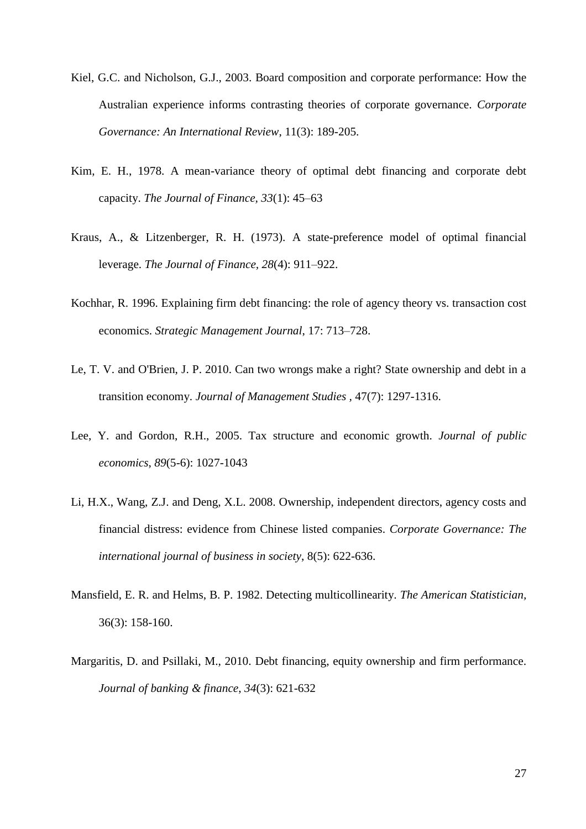- Kiel, G.C. and Nicholson, G.J., 2003. Board composition and corporate performance: How the Australian experience informs contrasting theories of corporate governance. *Corporate Governance: An International Review*, 11(3): 189-205.
- Kim, E. H., 1978. A mean-variance theory of optimal debt financing and corporate debt capacity. *The Journal of Finance, 33*(1): 45–63
- Kraus, A., & Litzenberger, R. H. (1973). A state-preference model of optimal financial leverage. *The Journal of Finance, 28*(4): 911–922.
- Kochhar, R. 1996. Explaining firm debt financing: the role of agency theory vs. transaction cost economics. *Strategic Management Journal*, 17: 713–728.
- Le, T. V. and O'Brien, J. P. 2010. Can two wrongs make a right? State ownership and debt in a transition economy. *Journal of Management Studies ,* 47(7): 1297-1316.
- Lee, Y. and Gordon, R.H., 2005. Tax structure and economic growth. *Journal of public economics*, *89*(5-6): 1027-1043
- Li, H.X., Wang, Z.J. and Deng, X.L. 2008. Ownership, independent directors, agency costs and financial distress: evidence from Chinese listed companies. *Corporate Governance: The international journal of business in society*, 8(5): 622-636.
- Mansfield, E. R. and Helms, B. P. 1982. Detecting multicollinearity. *The American Statistician,*  36(3): 158-160.
- Margaritis, D. and Psillaki, M., 2010. Debt financing, equity ownership and firm performance. *Journal of banking & finance*, *34*(3): 621-632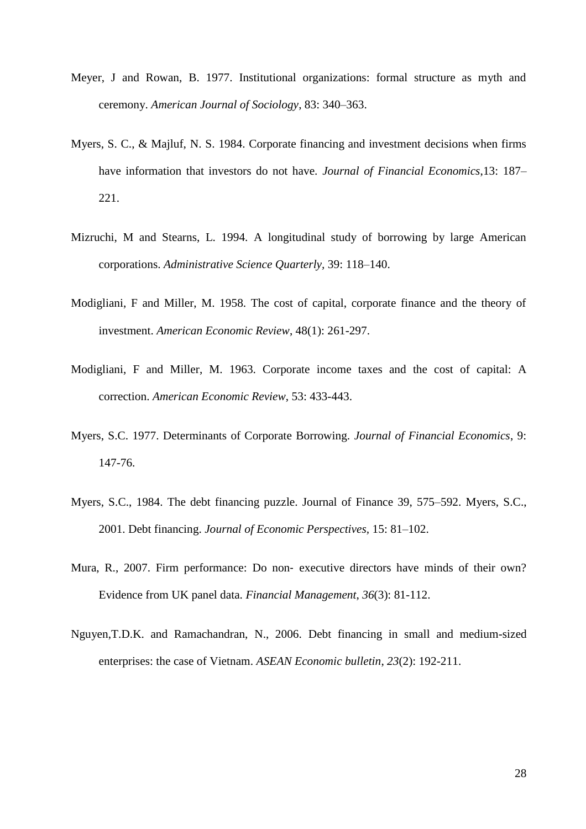- Meyer, J and Rowan, B. 1977. Institutional organizations: formal structure as myth and ceremony. *American Journal of Sociology*, 83: 340–363.
- Myers, S. C., & Majluf, N. S. 1984. Corporate financing and investment decisions when firms have information that investors do not have. *Journal of Financial Economics*,13: 187– 221.
- Mizruchi, M and Stearns, L. 1994. A longitudinal study of borrowing by large American corporations. *Administrative Science Quarterly,* 39: 118–140.
- Modigliani, F and Miller, M. 1958. The cost of capital, corporate finance and the theory of investment. *American Economic Review*, 48(1): 261-297.
- Modigliani, F and Miller, M. 1963. Corporate income taxes and the cost of capital: A correction. *American Economic Review*, 53: 433-443.
- Myers, S.C. 1977. Determinants of Corporate Borrowing. *Journal of Financial Economics*, 9: 147-76.
- Myers, S.C., 1984. The debt financing puzzle. Journal of Finance 39, 575–592. Myers, S.C., 2001. Debt financing. *Journal of Economic Perspectives,* 15: 81–102.
- Mura, R., 2007. Firm performance: Do non‐ executive directors have minds of their own? Evidence from UK panel data. *Financial Management*, *36*(3): 81-112.
- Nguyen,T.D.K. and Ramachandran, N., 2006. Debt financing in small and medium-sized enterprises: the case of Vietnam. *ASEAN Economic bulletin*, *23*(2): 192-211.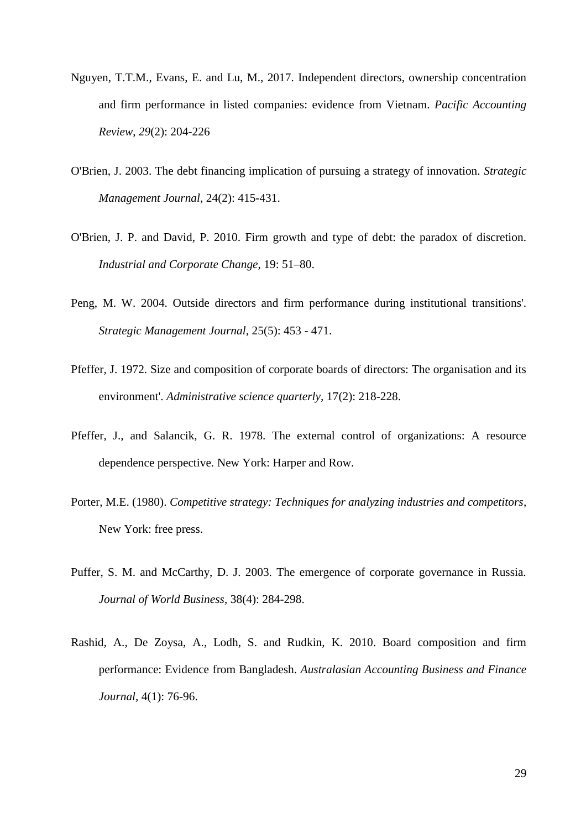- Nguyen, T.T.M., Evans, E. and Lu, M., 2017. Independent directors, ownership concentration and firm performance in listed companies: evidence from Vietnam. *Pacific Accounting Review*, *29*(2): 204-226
- O'Brien, J. 2003. The debt financing implication of pursuing a strategy of innovation. *Strategic Management Journal*, 24(2): 415-431.
- O'Brien, J. P. and David, P. 2010. Firm growth and type of debt: the paradox of discretion. *Industrial and Corporate Change*, 19: 51–80.
- Peng, M. W. 2004. Outside directors and firm performance during institutional transitions'. *Strategic Management Journal,* 25(5): 453 - 471.
- Pfeffer, J. 1972. Size and composition of corporate boards of directors: The organisation and its environment'. *Administrative science quarterly,* 17(2): 218-228.
- Pfeffer, J., and Salancik, G. R. 1978. The external control of organizations: A resource dependence perspective. New York: Harper and Row.
- Porter, M.E. (1980). *Competitive strategy: Techniques for analyzing industries and competitors*, New York: free press.
- Puffer, S. M. and McCarthy, D. J. 2003. The emergence of corporate governance in Russia. *Journal of World Business,* 38(4): 284-298.
- Rashid, A., De Zoysa, A., Lodh, S. and Rudkin, K. 2010. Board composition and firm performance: Evidence from Bangladesh. *Australasian Accounting Business and Finance Journal*, 4(1): 76-96.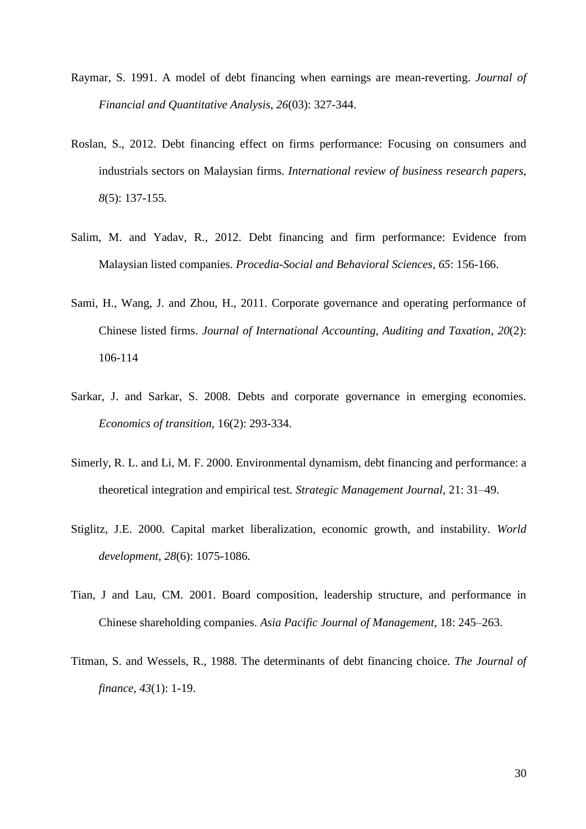- Raymar, S. 1991. A model of debt financing when earnings are mean-reverting. *Journal of Financial and Quantitative Analysis*, *26*(03): 327-344.
- Roslan, S., 2012. Debt financing effect on firms performance: Focusing on consumers and industrials sectors on Malaysian firms. *International review of business research papers*, *8*(5): 137-155.
- Salim, M. and Yadav, R., 2012. Debt financing and firm performance: Evidence from Malaysian listed companies. *Procedia-Social and Behavioral Sciences*, *65*: 156-166.
- Sami, H., Wang, J. and Zhou, H., 2011. Corporate governance and operating performance of Chinese listed firms. *Journal of International Accounting, Auditing and Taxation*, *20*(2): 106-114
- Sarkar, J. and Sarkar, S. 2008. Debts and corporate governance in emerging economies. *Economics of transition,* 16(2): 293-334.
- Simerly, R. L. and Li, M. F. 2000. Environmental dynamism, debt financing and performance: a theoretical integration and empirical test. *Strategic Management Journal*, 21: 31–49.
- Stiglitz, J.E. 2000. Capital market liberalization, economic growth, and instability. *World development*, *28*(6): 1075-1086.
- Tian, J and Lau, CM. 2001. Board composition, leadership structure, and performance in Chinese shareholding companies. *Asia Pacific Journal of Management,* 18: 245–263.
- Titman, S. and Wessels, R., 1988. The determinants of debt financing choice. *The Journal of finance*, *43*(1): 1-19.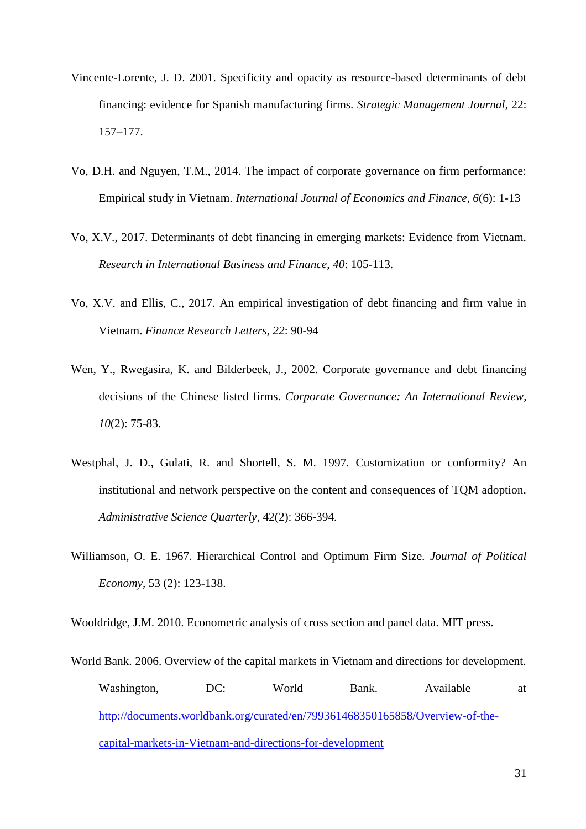- Vincente-Lorente, J. D. 2001. Specificity and opacity as resource-based determinants of debt financing: evidence for Spanish manufacturing firms. *Strategic Management Journal*, 22: 157–177.
- Vo, D.H. and Nguyen, T.M., 2014. The impact of corporate governance on firm performance: Empirical study in Vietnam. *International Journal of Economics and Finance*, *6*(6): 1-13
- Vo, X.V., 2017. Determinants of debt financing in emerging markets: Evidence from Vietnam. *Research in International Business and Finance*, *40*: 105-113.
- Vo, X.V. and Ellis, C., 2017. An empirical investigation of debt financing and firm value in Vietnam. *Finance Research Letters*, *22*: 90-94
- Wen, Y., Rwegasira, K. and Bilderbeek, J., 2002. Corporate governance and debt financing decisions of the Chinese listed firms. *Corporate Governance: An International Review*, *10*(2): 75-83.
- Westphal, J. D., Gulati, R. and Shortell, S. M. 1997. Customization or conformity? An institutional and network perspective on the content and consequences of TQM adoption. *Administrative Science Quarterly*, 42(2): 366-394.
- Williamson, O. E. 1967. Hierarchical Control and Optimum Firm Size. *Journal of Political Economy*, 53 (2): 123-138.

Wooldridge, J.M. 2010. Econometric analysis of cross section and panel data. MIT press.

World Bank. 2006. Overview of the capital markets in Vietnam and directions for development. Washington, DC: World Bank. Available at [http://documents.worldbank.org/curated/en/799361468350165858/Overview-of-the](http://documents.worldbank.org/curated/en/799361468350165858/Overview-of-the-capital-markets-in-Vietnam-and-directions-for-development)[capital-markets-in-Vietnam-and-directions-for-development](http://documents.worldbank.org/curated/en/799361468350165858/Overview-of-the-capital-markets-in-Vietnam-and-directions-for-development)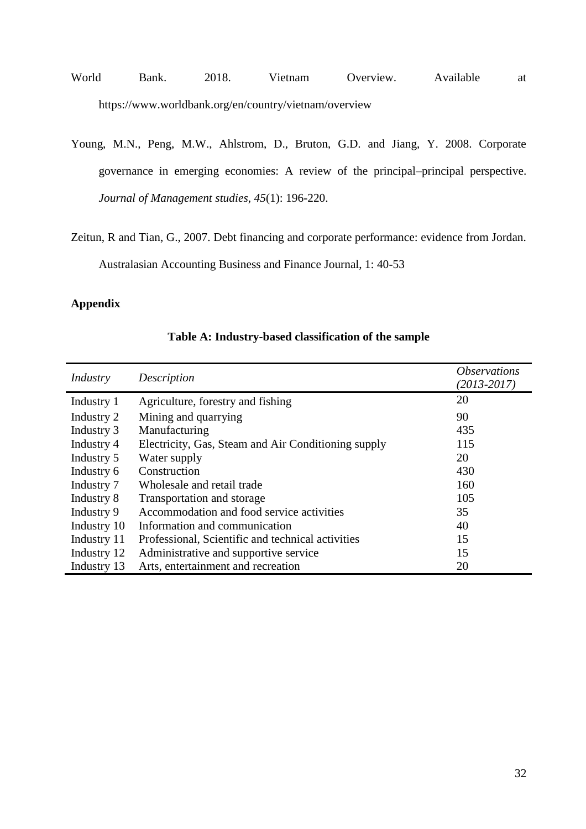- World Bank. 2018. Vietnam Overview. Available at https://www.worldbank.org/en/country/vietnam/overview
- Young, M.N., Peng, M.W., Ahlstrom, D., Bruton, G.D. and Jiang, Y. 2008. Corporate governance in emerging economies: A review of the principal–principal perspective. *Journal of Management studies*, *45*(1): 196-220.
- Zeitun, R and Tian, G., 2007. Debt financing and corporate performance: evidence from Jordan. Australasian Accounting Business and Finance Journal, 1: 40-53

# **Appendix**

| Industry    | <i><b>Observations</b></i><br>$(2013 - 2017)$       |     |
|-------------|-----------------------------------------------------|-----|
| Industry 1  | Agriculture, forestry and fishing                   | 20  |
| Industry 2  | Mining and quarrying                                | 90  |
| Industry 3  | Manufacturing                                       | 435 |
| Industry 4  | Electricity, Gas, Steam and Air Conditioning supply | 115 |
| Industry 5  | Water supply                                        | 20  |
| Industry 6  | Construction                                        | 430 |
| Industry 7  | Wholesale and retail trade                          | 160 |
| Industry 8  | Transportation and storage                          | 105 |
| Industry 9  | Accommodation and food service activities           | 35  |
| Industry 10 | Information and communication                       | 40  |
| Industry 11 | Professional, Scientific and technical activities   | 15  |
| Industry 12 | Administrative and supportive service               | 15  |
| Industry 13 | Arts, entertainment and recreation                  | 20  |

# **Table A: Industry-based classification of the sample**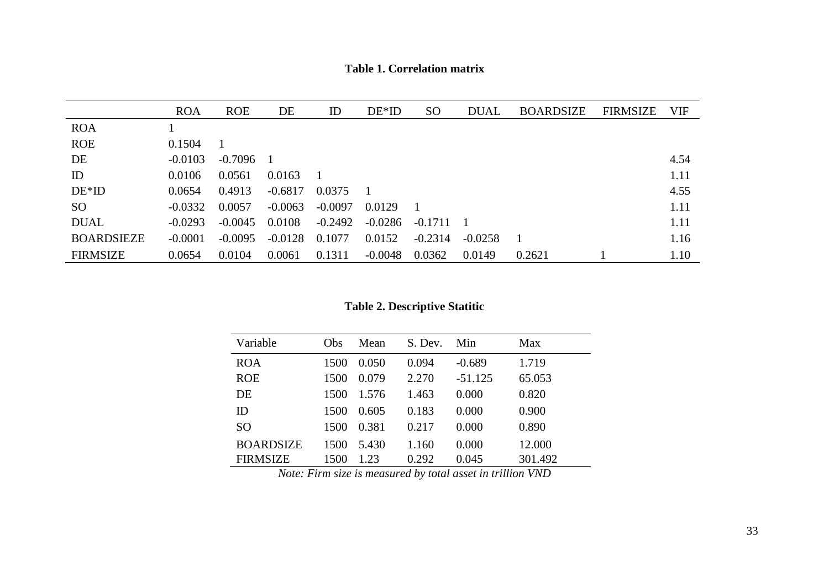**Table 1. Correlation matrix**

|                   | <b>ROA</b> | <b>ROE</b> | DE        | ID        | $DE*ID$   | <sub>SO</sub> | <b>DUAL</b> | <b>BOARDSIZE</b> | <b>FIRMSIZE</b> | <b>VIF</b> |
|-------------------|------------|------------|-----------|-----------|-----------|---------------|-------------|------------------|-----------------|------------|
| <b>ROA</b>        |            |            |           |           |           |               |             |                  |                 |            |
| <b>ROE</b>        | 0.1504     |            |           |           |           |               |             |                  |                 |            |
| DE                | $-0.0103$  | $-0.7096$  |           |           |           |               |             |                  |                 | 4.54       |
| ID                | 0.0106     | 0.0561     | 0.0163    |           |           |               |             |                  |                 | 1.11       |
| $DE*ID$           | 0.0654     | 0.4913     | $-0.6817$ | 0.0375    |           |               |             |                  |                 | 4.55       |
| SO <sub>1</sub>   | $-0.0332$  | 0.0057     | $-0.0063$ | $-0.0097$ | 0.0129    |               |             |                  |                 | 1.11       |
| <b>DUAL</b>       | $-0.0293$  | $-0.0045$  | 0.0108    | $-0.2492$ | $-0.0286$ | $-0.1711$     |             |                  |                 | 1.11       |
| <b>BOARDSIEZE</b> | $-0.0001$  | $-0.0095$  | $-0.0128$ | 0.1077    | 0.0152    | $-0.2314$     | $-0.0258$   |                  |                 | 1.16       |
| <b>FIRMSIZE</b>   | 0.0654     | 0.0104     | 0.0061    | 0.1311    | $-0.0048$ | 0.0362        | 0.0149      | 0.2621           |                 | 1.10       |

**Table 2. Descriptive Statitic**

| Variable         | <b>Obs</b> | Mean  | S. Dev. | Min       | Max     |  |
|------------------|------------|-------|---------|-----------|---------|--|
| <b>ROA</b>       | 1500       | 0.050 | 0.094   | $-0.689$  | 1.719   |  |
| <b>ROE</b>       | 1500       | 0.079 | 2.270   | $-51.125$ | 65.053  |  |
| DE               | 1500       | 1.576 | 1.463   | 0.000     | 0.820   |  |
| ID               | 1500       | 0.605 | 0.183   | 0.000     | 0.900   |  |
| <b>SO</b>        | 1500       | 0.381 | 0.217   | 0.000     | 0.890   |  |
| <b>BOARDSIZE</b> | 1500       | 5.430 | 1.160   | 0.000     | 12.000  |  |
| <b>FIRMSIZE</b>  | 1500       | 1.23  | 0.292   | 0.045     | 301.492 |  |

*Note: Firm size is measured by total asset in trillion VND*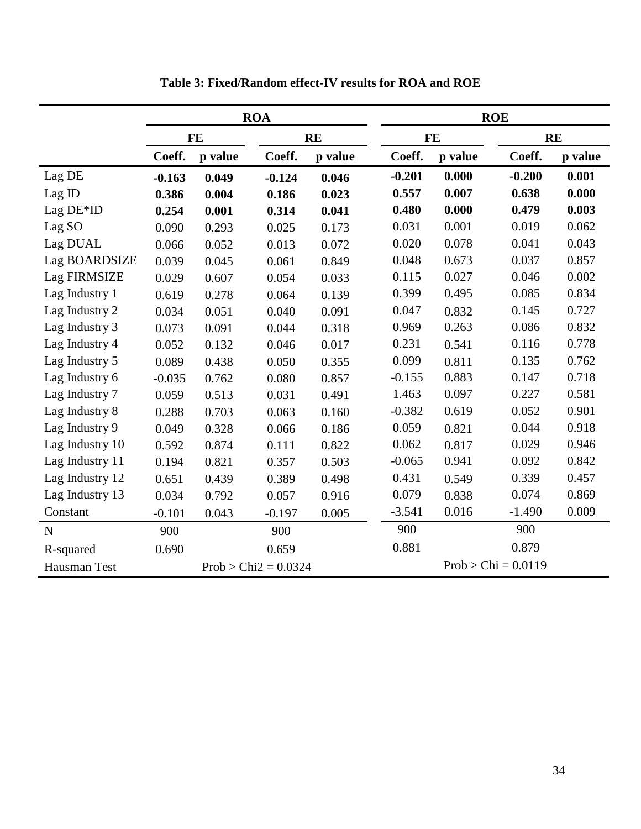|                 |                        |         | <b>ROA</b> |         |                       | <b>ROE</b> |          |           |  |
|-----------------|------------------------|---------|------------|---------|-----------------------|------------|----------|-----------|--|
|                 | <b>FE</b>              |         | <b>RE</b>  |         |                       | <b>FE</b>  |          | <b>RE</b> |  |
|                 | Coeff.                 | p value | Coeff.     | p value | Coeff.                | p value    | Coeff.   | p value   |  |
| Lag DE          | $-0.163$               | 0.049   | $-0.124$   | 0.046   | $-0.201$              | 0.000      | $-0.200$ | 0.001     |  |
| Lag ID          | 0.386                  | 0.004   | 0.186      | 0.023   | 0.557                 | 0.007      | 0.638    | 0.000     |  |
| Lag $DE*ID$     | 0.254                  | 0.001   | 0.314      | 0.041   | 0.480                 | 0.000      | 0.479    | 0.003     |  |
| Lag SO          | 0.090                  | 0.293   | 0.025      | 0.173   | 0.031                 | 0.001      | 0.019    | 0.062     |  |
| Lag DUAL        | 0.066                  | 0.052   | 0.013      | 0.072   | 0.020                 | 0.078      | 0.041    | 0.043     |  |
| Lag BOARDSIZE   | 0.039                  | 0.045   | 0.061      | 0.849   | 0.048                 | 0.673      | 0.037    | 0.857     |  |
| Lag FIRMSIZE    | 0.029                  | 0.607   | 0.054      | 0.033   | 0.115                 | 0.027      | 0.046    | 0.002     |  |
| Lag Industry 1  | 0.619                  | 0.278   | 0.064      | 0.139   | 0.399                 | 0.495      | 0.085    | 0.834     |  |
| Lag Industry 2  | 0.034                  | 0.051   | 0.040      | 0.091   | 0.047                 | 0.832      | 0.145    | 0.727     |  |
| Lag Industry 3  | 0.073                  | 0.091   | 0.044      | 0.318   | 0.969                 | 0.263      | 0.086    | 0.832     |  |
| Lag Industry 4  | 0.052                  | 0.132   | 0.046      | 0.017   | 0.231                 | 0.541      | 0.116    | 0.778     |  |
| Lag Industry 5  | 0.089                  | 0.438   | 0.050      | 0.355   | 0.099                 | 0.811      | 0.135    | 0.762     |  |
| Lag Industry 6  | $-0.035$               | 0.762   | 0.080      | 0.857   | $-0.155$              | 0.883      | 0.147    | 0.718     |  |
| Lag Industry 7  | 0.059                  | 0.513   | 0.031      | 0.491   | 1.463                 | 0.097      | 0.227    | 0.581     |  |
| Lag Industry 8  | 0.288                  | 0.703   | 0.063      | 0.160   | $-0.382$              | 0.619      | 0.052    | 0.901     |  |
| Lag Industry 9  | 0.049                  | 0.328   | 0.066      | 0.186   | 0.059                 | 0.821      | 0.044    | 0.918     |  |
| Lag Industry 10 | 0.592                  | 0.874   | 0.111      | 0.822   | 0.062                 | 0.817      | 0.029    | 0.946     |  |
| Lag Industry 11 | 0.194                  | 0.821   | 0.357      | 0.503   | $-0.065$              | 0.941      | 0.092    | 0.842     |  |
| Lag Industry 12 | 0.651                  | 0.439   | 0.389      | 0.498   | 0.431                 | 0.549      | 0.339    | 0.457     |  |
| Lag Industry 13 | 0.034                  | 0.792   | 0.057      | 0.916   | 0.079                 | 0.838      | 0.074    | 0.869     |  |
| Constant        | $-0.101$               | 0.043   | $-0.197$   | 0.005   | $-3.541$              | 0.016      | $-1.490$ | 0.009     |  |
| N               | 900                    |         | 900        |         | 900                   |            | 900      |           |  |
| R-squared       | 0.690                  |         | 0.659      |         | 0.881                 |            | 0.879    |           |  |
| Hausman Test    | $Prob > Chi2 = 0.0324$ |         |            |         | $Prob > Chi = 0.0119$ |            |          |           |  |

**Table 3: Fixed/Random effect-IV results for ROA and ROE**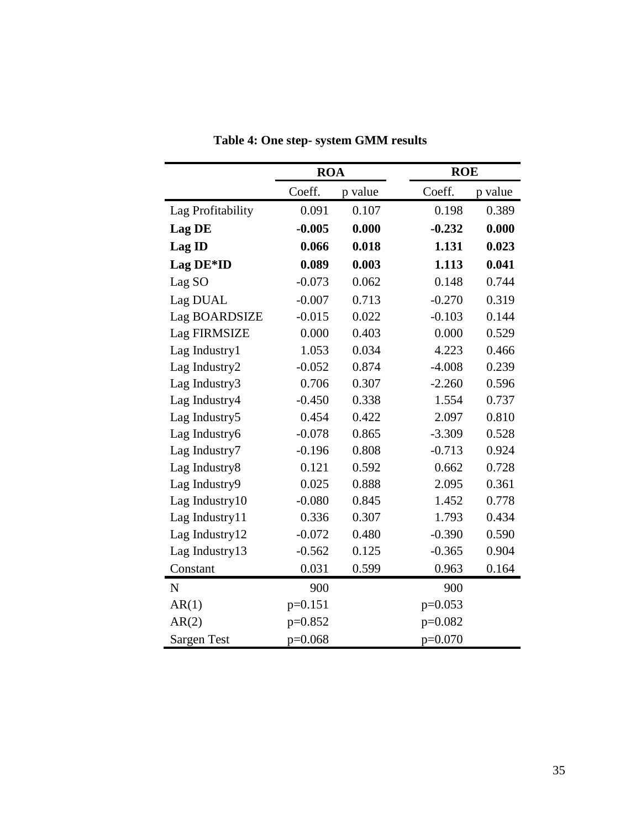|                    | <b>ROA</b> |         |           | <b>ROE</b> |  |  |  |
|--------------------|------------|---------|-----------|------------|--|--|--|
|                    | Coeff.     | p value | Coeff.    | p value    |  |  |  |
| Lag Profitability  | 0.091      | 0.107   | 0.198     | 0.389      |  |  |  |
| Lag DE             | $-0.005$   | 0.000   | $-0.232$  | 0.000      |  |  |  |
| Lag ID             | 0.066      | 0.018   | 1.131     | 0.023      |  |  |  |
| Lag DE*ID          | 0.089      | 0.003   | 1.113     | 0.041      |  |  |  |
| Lag SO             | $-0.073$   | 0.062   | 0.148     | 0.744      |  |  |  |
| Lag DUAL           | $-0.007$   | 0.713   | $-0.270$  | 0.319      |  |  |  |
| Lag BOARDSIZE      | $-0.015$   | 0.022   | $-0.103$  | 0.144      |  |  |  |
| Lag FIRMSIZE       | 0.000      | 0.403   | 0.000     | 0.529      |  |  |  |
| Lag Industry1      | 1.053      | 0.034   | 4.223     | 0.466      |  |  |  |
| Lag Industry2      | $-0.052$   | 0.874   | $-4.008$  | 0.239      |  |  |  |
| Lag Industry3      | 0.706      | 0.307   | $-2.260$  | 0.596      |  |  |  |
| Lag Industry4      | $-0.450$   | 0.338   | 1.554     | 0.737      |  |  |  |
| Lag Industry5      | 0.454      | 0.422   | 2.097     | 0.810      |  |  |  |
| Lag Industry6      | $-0.078$   | 0.865   | $-3.309$  | 0.528      |  |  |  |
| Lag Industry7      | $-0.196$   | 0.808   | $-0.713$  | 0.924      |  |  |  |
| Lag Industry8      | 0.121      | 0.592   | 0.662     | 0.728      |  |  |  |
| Lag Industry9      | 0.025      | 0.888   | 2.095     | 0.361      |  |  |  |
| Lag Industry10     | $-0.080$   | 0.845   | 1.452     | 0.778      |  |  |  |
| Lag Industry11     | 0.336      | 0.307   | 1.793     | 0.434      |  |  |  |
| Lag Industry12     | $-0.072$   | 0.480   | $-0.390$  | 0.590      |  |  |  |
| Lag Industry13     | $-0.562$   | 0.125   | $-0.365$  | 0.904      |  |  |  |
| Constant           | 0.031      | 0.599   | 0.963     | 0.164      |  |  |  |
| N                  | 900        |         | 900       |            |  |  |  |
| AR(1)              | $p=0.151$  |         | $p=0.053$ |            |  |  |  |
| AR(2)              | $p=0.852$  |         | $p=0.082$ |            |  |  |  |
| <b>Sargen Test</b> | $p=0.068$  |         | $p=0.070$ |            |  |  |  |

**Table 4: One step- system GMM results**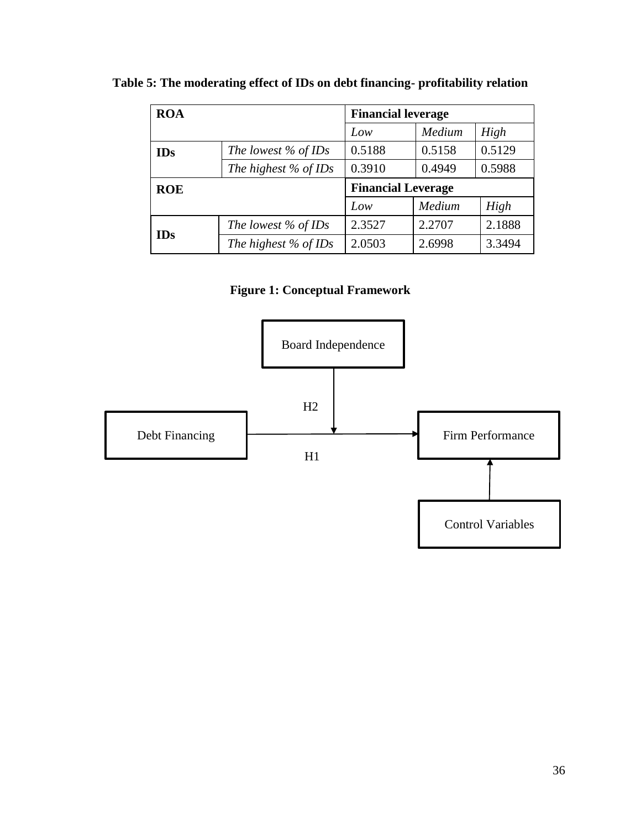| <b>ROA</b> |                        | <b>Financial leverage</b> |        |        |  |
|------------|------------------------|---------------------------|--------|--------|--|
|            |                        | Low                       | Medium | High   |  |
| <b>IDs</b> | The lowest $\%$ of IDs | 0.5188                    | 0.5158 | 0.5129 |  |
|            | The highest $%$ of IDs | 0.3910                    | 0.4949 | 0.5988 |  |
| <b>ROE</b> |                        | <b>Financial Leverage</b> |        |        |  |
|            |                        | Low                       | Medium | High   |  |
|            | The lowest $\%$ of IDs | 2.3527                    | 2.2707 | 2.1888 |  |
| <b>IDs</b> | The highest $%$ of IDs | 2.0503                    | 2.6998 | 3.3494 |  |

**Table 5: The moderating effect of IDs on debt financing- profitability relation**

**Figure 1: Conceptual Framework**